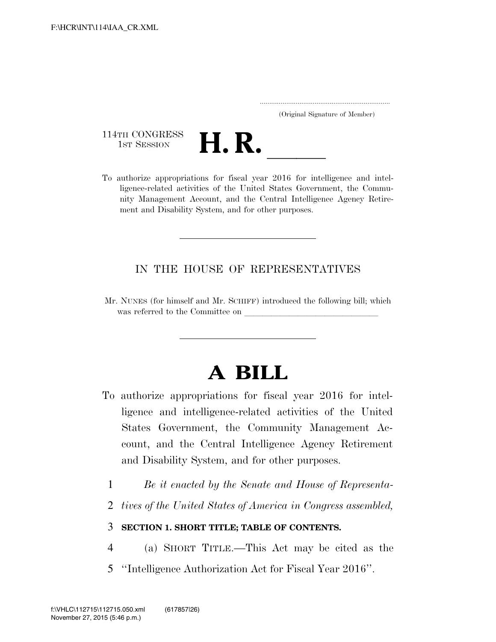..................................................................... (Original Signature of Member)

114TH CONGRESS<br>1st Session



114TH CONGRESS<br>1st SESSION **H. R.** <u>Intelligence</u> and intel-<br>To authorize appropriations for fiscal year 2016 for intelligence and intelligence-related activities of the United States Government, the Community Management Account, and the Central Intelligence Agency Retirement and Disability System, and for other purposes.

### IN THE HOUSE OF REPRESENTATIVES

Mr. NUNES (for himself and Mr. SCHIFF) introduced the following bill; which was referred to the Committee on

# **A BILL**

- To authorize appropriations for fiscal year 2016 for intelligence and intelligence-related activities of the United States Government, the Community Management Account, and the Central Intelligence Agency Retirement and Disability System, and for other purposes.
	- 1 *Be it enacted by the Senate and House of Representa-*
	- 2 *tives of the United States of America in Congress assembled,*

### 3 **SECTION 1. SHORT TITLE; TABLE OF CONTENTS.**

- 4 (a) SHORT TITLE.—This Act may be cited as the
- 5 ''Intelligence Authorization Act for Fiscal Year 2016''.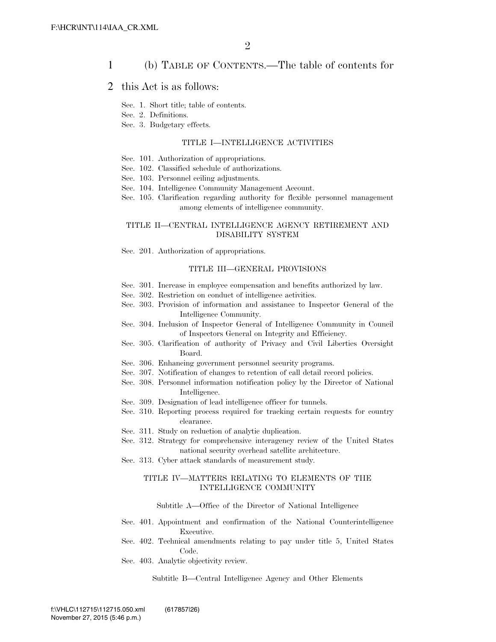### 1 (b) TABLE OF CONTENTS.—The table of contents for

### 2 this Act is as follows:

- Sec. 1. Short title; table of contents.
- Sec. 2. Definitions.
- Sec. 3. Budgetary effects.

### TITLE I—INTELLIGENCE ACTIVITIES

- Sec. 101. Authorization of appropriations.
- Sec. 102. Classified schedule of authorizations.
- Sec. 103. Personnel ceiling adjustments.
- Sec. 104. Intelligence Community Management Account.
- Sec. 105. Clarification regarding authority for flexible personnel management among elements of intelligence community.

### TITLE II—CENTRAL INTELLIGENCE AGENCY RETIREMENT AND DISABILITY SYSTEM

Sec. 201. Authorization of appropriations.

### TITLE III—GENERAL PROVISIONS

- Sec. 301. Increase in employee compensation and benefits authorized by law.
- Sec. 302. Restriction on conduct of intelligence activities.
- Sec. 303. Provision of information and assistance to Inspector General of the Intelligence Community.
- Sec. 304. Inclusion of Inspector General of Intelligence Community in Council of Inspectors General on Integrity and Efficiency.
- Sec. 305. Clarification of authority of Privacy and Civil Liberties Oversight Board.
- Sec. 306. Enhancing government personnel security programs.
- Sec. 307. Notification of changes to retention of call detail record policies.
- Sec. 308. Personnel information notification policy by the Director of National Intelligence.
- Sec. 309. Designation of lead intelligence officer for tunnels.
- Sec. 310. Reporting process required for tracking certain requests for country clearance.
- Sec. 311. Study on reduction of analytic duplication.
- Sec. 312. Strategy for comprehensive interagency review of the United States national security overhead satellite architecture.
- Sec. 313. Cyber attack standards of measurement study.

### TITLE IV—MATTERS RELATING TO ELEMENTS OF THE INTELLIGENCE COMMUNITY

### Subtitle A—Office of the Director of National Intelligence

- Sec. 401. Appointment and confirmation of the National Counterintelligence Executive.
- Sec. 402. Technical amendments relating to pay under title 5, United States Code.
- Sec. 403. Analytic objectivity review.

Subtitle B—Central Intelligence Agency and Other Elements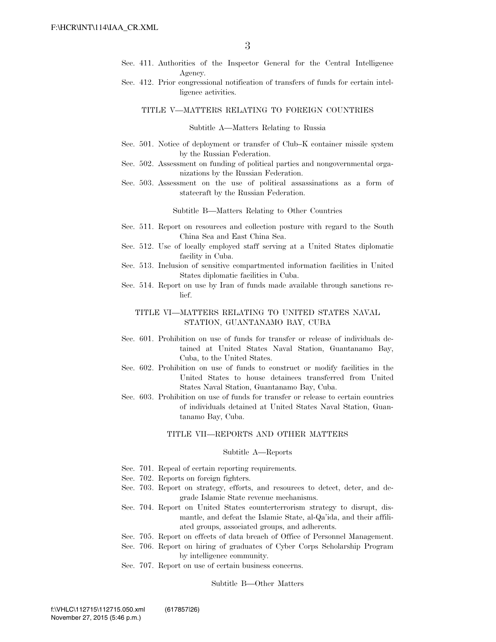- Sec. 411. Authorities of the Inspector General for the Central Intelligence Agency.
- Sec. 412. Prior congressional notification of transfers of funds for certain intelligence activities.

### TITLE V—MATTERS RELATING TO FOREIGN COUNTRIES

#### Subtitle A—Matters Relating to Russia

- Sec. 501. Notice of deployment or transfer of Club–K container missile system by the Russian Federation.
- Sec. 502. Assessment on funding of political parties and nongovernmental organizations by the Russian Federation.
- Sec. 503. Assessment on the use of political assassinations as a form of statecraft by the Russian Federation.

Subtitle B—Matters Relating to Other Countries

- Sec. 511. Report on resources and collection posture with regard to the South China Sea and East China Sea.
- Sec. 512. Use of locally employed staff serving at a United States diplomatic facility in Cuba.
- Sec. 513. Inclusion of sensitive compartmented information facilities in United States diplomatic facilities in Cuba.
- Sec. 514. Report on use by Iran of funds made available through sanctions relief.

### TITLE VI—MATTERS RELATING TO UNITED STATES NAVAL STATION, GUANTANAMO BAY, CUBA

- Sec. 601. Prohibition on use of funds for transfer or release of individuals detained at United States Naval Station, Guantanamo Bay, Cuba, to the United States.
- Sec. 602. Prohibition on use of funds to construct or modify facilities in the United States to house detainees transferred from United States Naval Station, Guantanamo Bay, Cuba.
- Sec. 603. Prohibition on use of funds for transfer or release to certain countries of individuals detained at United States Naval Station, Guantanamo Bay, Cuba.

### TITLE VII—REPORTS AND OTHER MATTERS

#### Subtitle A—Reports

- Sec. 701. Repeal of certain reporting requirements.
- Sec. 702. Reports on foreign fighters.
- Sec. 703. Report on strategy, efforts, and resources to detect, deter, and degrade Islamic State revenue mechanisms.
- Sec. 704. Report on United States counterterrorism strategy to disrupt, dismantle, and defeat the Islamic State, al-Qa'ida, and their affiliated groups, associated groups, and adherents.
- Sec. 705. Report on effects of data breach of Office of Personnel Management.
- Sec. 706. Report on hiring of graduates of Cyber Corps Scholarship Program by intelligence community.
- Sec. 707. Report on use of certain business concerns.

Subtitle B—Other Matters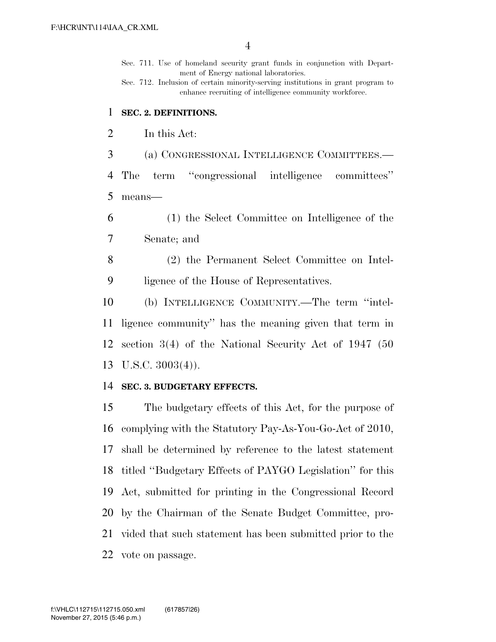Sec. 711. Use of homeland security grant funds in conjunction with Department of Energy national laboratories.

Sec. 712. Inclusion of certain minority-serving institutions in grant program to enhance recruiting of intelligence community workforce.

### **SEC. 2. DEFINITIONS.**

In this Act:

(a) CONGRESSIONAL INTELLIGENCE COMMITTEES.—

 The term ''congressional intelligence committees'' means—

 (1) the Select Committee on Intelligence of the Senate; and

 (2) the Permanent Select Committee on Intel-ligence of the House of Representatives.

 (b) INTELLIGENCE COMMUNITY.—The term ''intel- ligence community'' has the meaning given that term in section 3(4) of the National Security Act of 1947 (50 U.S.C. 3003(4)).

### **SEC. 3. BUDGETARY EFFECTS.**

 The budgetary effects of this Act, for the purpose of complying with the Statutory Pay-As-You-Go-Act of 2010, shall be determined by reference to the latest statement titled ''Budgetary Effects of PAYGO Legislation'' for this Act, submitted for printing in the Congressional Record by the Chairman of the Senate Budget Committee, pro- vided that such statement has been submitted prior to the vote on passage.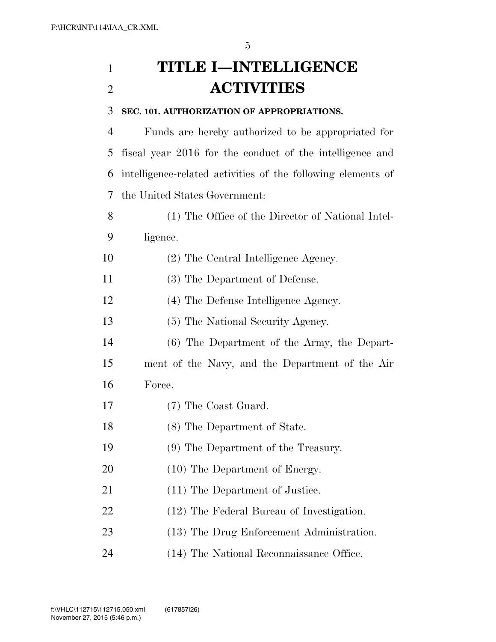# **TITLE I—INTELLIGENCE ACTIVITIES**

### **SEC. 101. AUTHORIZATION OF APPROPRIATIONS.**

 Funds are hereby authorized to be appropriated for fiscal year 2016 for the conduct of the intelligence and intelligence-related activities of the following elements of the United States Government:

- (1) The Office of the Director of National Intel-ligence.
- (2) The Central Intelligence Agency.
- (3) The Department of Defense.
- (4) The Defense Intelligence Agency.
- (5) The National Security Agency.
- (6) The Department of the Army, the Depart-
- ment of the Navy, and the Department of the Air Force.
- (7) The Coast Guard.
- (8) The Department of State.
- (9) The Department of the Treasury.
- 20 (10) The Department of Energy.
- 21 (11) The Department of Justice.
- (12) The Federal Bureau of Investigation.
- 23 (13) The Drug Enforcement Administration.
- (14) The National Reconnaissance Office.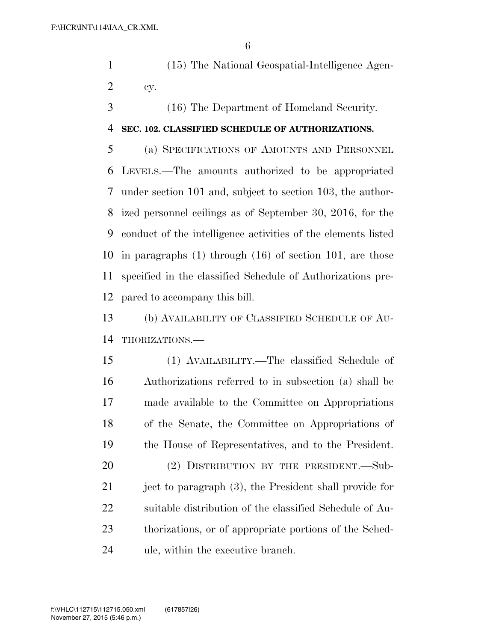- (15) The National Geospatial-Intelligence Agen-cy.
- (16) The Department of Homeland Security.

### **SEC. 102. CLASSIFIED SCHEDULE OF AUTHORIZATIONS.**

 (a) SPECIFICATIONS OF AMOUNTS AND PERSONNEL LEVELS.—The amounts authorized to be appropriated under section 101 and, subject to section 103, the author- ized personnel ceilings as of September 30, 2016, for the conduct of the intelligence activities of the elements listed in paragraphs (1) through (16) of section 101, are those specified in the classified Schedule of Authorizations pre-pared to accompany this bill.

 (b) AVAILABILITY OF CLASSIFIED SCHEDULE OF AU-THORIZATIONS.—

 (1) AVAILABILITY.—The classified Schedule of Authorizations referred to in subsection (a) shall be made available to the Committee on Appropriations of the Senate, the Committee on Appropriations of the House of Representatives, and to the President. 20 (2) DISTRIBUTION BY THE PRESIDENT. Sub-

21 ject to paragraph (3), the President shall provide for suitable distribution of the classified Schedule of Au- thorizations, or of appropriate portions of the Sched-ule, within the executive branch.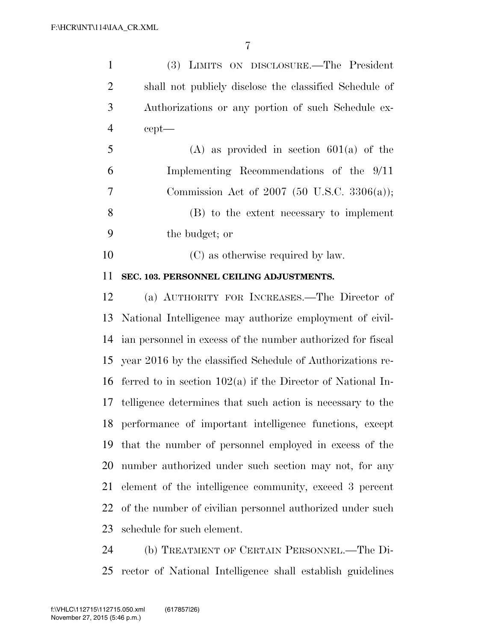| $\mathbf{1}$   | (3) LIMITS ON DISCLOSURE.—The President                       |
|----------------|---------------------------------------------------------------|
| $\overline{2}$ | shall not publicly disclose the classified Schedule of        |
| 3              | Authorizations or any portion of such Schedule ex-            |
| $\overline{4}$ | $cept$ —                                                      |
| 5              | $(A)$ as provided in section 601(a) of the                    |
| 6              | Implementing Recommendations of the 9/11                      |
| $\tau$         | Commission Act of 2007 (50 U.S.C. 3306(a));                   |
| 8              | (B) to the extent necessary to implement                      |
| 9              | the budget; or                                                |
| 10             | (C) as otherwise required by law.                             |
| 11             | SEC. 103. PERSONNEL CEILING ADJUSTMENTS.                      |
| 12             | (a) AUTHORITY FOR INCREASES.—The Director of                  |
| 13             | National Intelligence may authorize employment of civil-      |
| 14             | ian personnel in excess of the number authorized for fiscal   |
|                | 15 year 2016 by the classified Schedule of Authorizations re- |
| 16             | ferred to in section $102(a)$ if the Director of National In- |
| 17             | telligence determines that such action is necessary to the    |
|                | 18 performance of important intelligence functions, except    |
| 19             | that the number of personnel employed in excess of the        |
| 20             | number authorized under such section may not, for any         |
| 21             | element of the intelligence community, exceed 3 percent       |
| 22             | of the number of civilian personnel authorized under such     |
| 23             | schedule for such element.                                    |
| 24             | (b) TREATMENT OF CERTAIN PERSONNEL.—The Di-                   |

rector of National Intelligence shall establish guidelines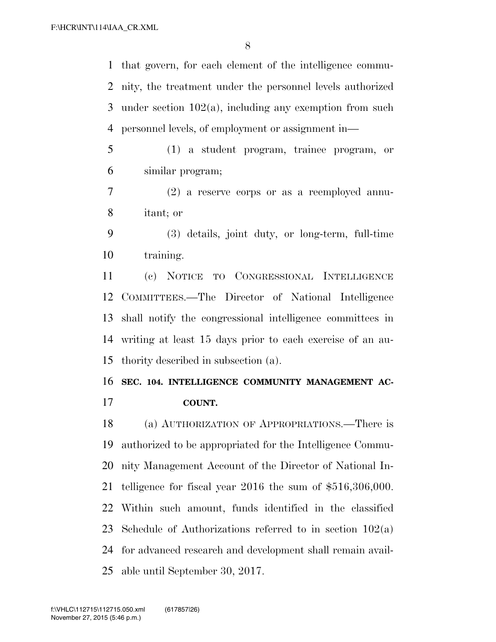that govern, for each element of the intelligence commu- nity, the treatment under the personnel levels authorized under section 102(a), including any exemption from such personnel levels, of employment or assignment in—

 (1) a student program, trainee program, or similar program;

 (2) a reserve corps or as a reemployed annu-itant; or

 (3) details, joint duty, or long-term, full-time training.

 (c) NOTICE TO CONGRESSIONAL INTELLIGENCE COMMITTEES.—The Director of National Intelligence shall notify the congressional intelligence committees in writing at least 15 days prior to each exercise of an au-thority described in subsection (a).

### **SEC. 104. INTELLIGENCE COMMUNITY MANAGEMENT AC-**

**COUNT.** 

 (a) AUTHORIZATION OF APPROPRIATIONS.—There is authorized to be appropriated for the Intelligence Commu- nity Management Account of the Director of National In- telligence for fiscal year 2016 the sum of \$516,306,000. Within such amount, funds identified in the classified 23 Schedule of Authorizations referred to in section  $102(a)$  for advanced research and development shall remain avail-able until September 30, 2017.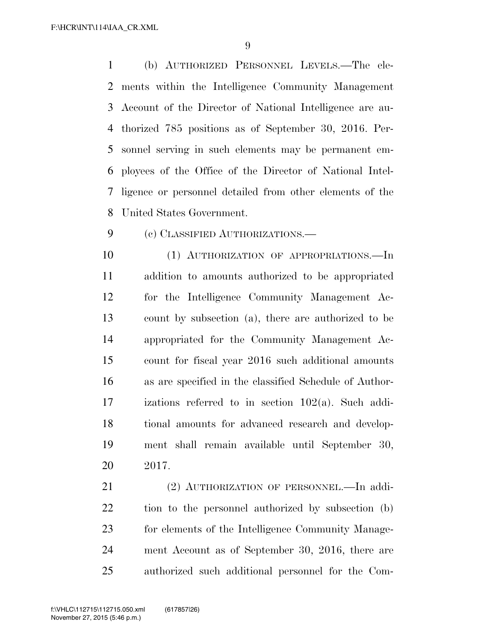(b) AUTHORIZED PERSONNEL LEVELS.—The ele- ments within the Intelligence Community Management Account of the Director of National Intelligence are au- thorized 785 positions as of September 30, 2016. Per- sonnel serving in such elements may be permanent em- ployees of the Office of the Director of National Intel- ligence or personnel detailed from other elements of the United States Government.

(c) CLASSIFIED AUTHORIZATIONS.—

10 (1) AUTHORIZATION OF APPROPRIATIONS.—In addition to amounts authorized to be appropriated for the Intelligence Community Management Ac- count by subsection (a), there are authorized to be appropriated for the Community Management Ac- count for fiscal year 2016 such additional amounts as are specified in the classified Schedule of Author- izations referred to in section 102(a). Such addi- tional amounts for advanced research and develop- ment shall remain available until September 30, 2017.

 (2) AUTHORIZATION OF PERSONNEL.—In addi- tion to the personnel authorized by subsection (b) for elements of the Intelligence Community Manage- ment Account as of September 30, 2016, there are authorized such additional personnel for the Com-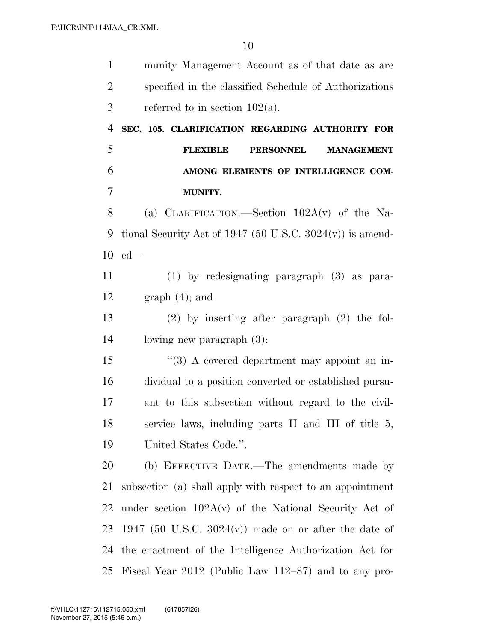| $\mathbf{1}$   | munity Management Account as of that date as are             |
|----------------|--------------------------------------------------------------|
| $\overline{2}$ | specified in the classified Schedule of Authorizations       |
| 3              | referred to in section $102(a)$ .                            |
| $\overline{4}$ | SEC. 105. CLARIFICATION REGARDING AUTHORITY FOR              |
| 5              | <b>PERSONNEL</b><br><b>FLEXIBLE</b><br><b>MANAGEMENT</b>     |
| 6              | AMONG ELEMENTS OF INTELLIGENCE COM-                          |
| 7              | MUNITY.                                                      |
| 8              | (a) CLARIFICATION.—Section $102A(v)$ of the Na-              |
| 9              | tional Security Act of 1947 (50 U.S.C. $3024(v)$ ) is amend- |
| 10             | $ed$ —                                                       |
| 11             | $(1)$ by redesignating paragraph $(3)$ as para-              |
| 12             | $graph(4)$ ; and                                             |
| 13             | $(2)$ by inserting after paragraph $(2)$ the fol-            |
| 14             | lowing new paragraph $(3)$ :                                 |
| 15             | "(3) A covered department may appoint an in-                 |
| 16             | dividual to a position converted or established pursu-       |
| 17             | ant to this subsection without regard to the civil-          |
| 18             | service laws, including parts II and III of title 5,         |
| 19             | United States Code.".                                        |
| 20             | (b) EFFECTIVE DATE.—The amendments made by                   |
| 21             | subsection (a) shall apply with respect to an appointment    |
| 22             | under section $102A(v)$ of the National Security Act of      |
| 23             | 1947 (50 U.S.C. 3024 $(v)$ ) made on or after the date of    |
| 24             | the enactment of the Intelligence Authorization Act for      |
| 25             | Fiscal Year 2012 (Public Law 112–87) and to any pro-         |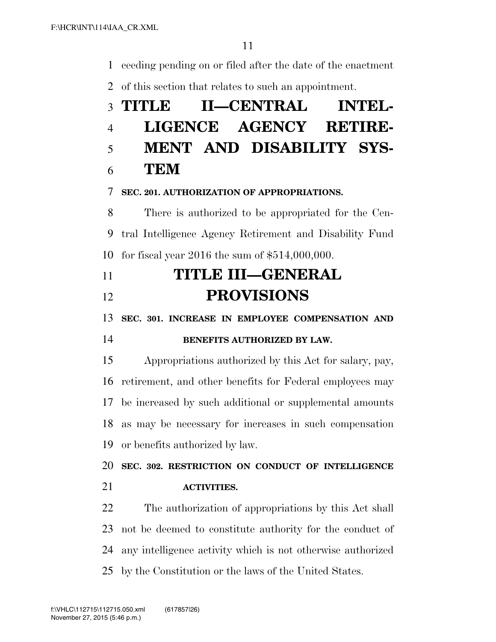ceeding pending on or filed after the date of the enactment

of this section that relates to such an appointment.

# **TITLE II—CENTRAL INTEL- LIGENCE AGENCY RETIRE- MENT AND DISABILITY SYS- TEM SEC. 201. AUTHORIZATION OF APPROPRIATIONS.**  There is authorized to be appropriated for the Cen- tral Intelligence Agency Retirement and Disability Fund for fiscal year 2016 the sum of \$514,000,000. **TITLE III—GENERAL PROVISIONS SEC. 301. INCREASE IN EMPLOYEE COMPENSATION AND BENEFITS AUTHORIZED BY LAW.**  Appropriations authorized by this Act for salary, pay, retirement, and other benefits for Federal employees may be increased by such additional or supplemental amounts as may be necessary for increases in such compensation or benefits authorized by law. **SEC. 302. RESTRICTION ON CONDUCT OF INTELLIGENCE**

**ACTIVITIES.** 

 The authorization of appropriations by this Act shall not be deemed to constitute authority for the conduct of any intelligence activity which is not otherwise authorized by the Constitution or the laws of the United States.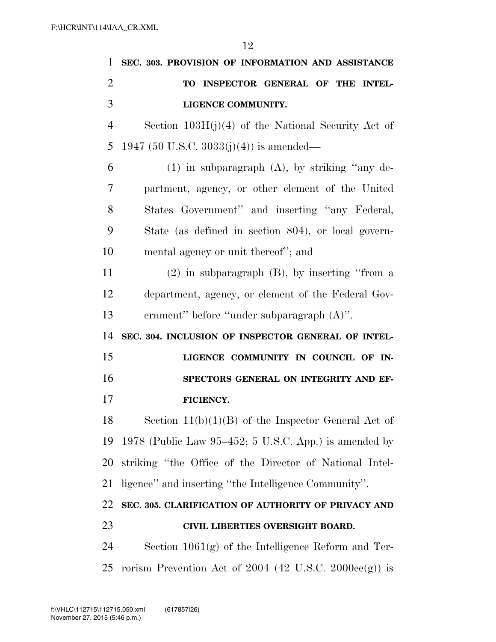| 1              | SEC. 303. PROVISION OF INFORMATION AND ASSISTANCE        |
|----------------|----------------------------------------------------------|
| $\overline{2}$ | TO INSPECTOR GENERAL OF THE INTEL-                       |
| 3              | LIGENCE COMMUNITY.                                       |
| $\overline{4}$ | Section $103H(j)(4)$ of the National Security Act of     |
| 5              | 1947 (50 U.S.C. 3033(j)(4)) is amended—                  |
| 6              | $(1)$ in subparagraph $(A)$ , by striking "any de-       |
| 7              | partment, agency, or other element of the United         |
| 8              | States Government" and inserting "any Federal,           |
| 9              | State (as defined in section 804), or local govern-      |
| 10             | mental agency or unit thereof"; and                      |
| 11             | $(2)$ in subparagraph $(B)$ , by inserting "from a       |
| 12             | department, agency, or element of the Federal Gov-       |
| 13             | ernment" before "under subparagraph (A)".                |
| 14             | SEC. 304. INCLUSION OF INSPECTOR GENERAL OF INTEL-       |
| 15             | LIGENCE COMMUNITY IN COUNCIL OF IN-                      |
| 16             | SPECTORS GENERAL ON INTEGRITY AND EF-                    |
| 17             | FICIENCY.                                                |
| 18             | Section $11(b)(1)(B)$ of the Inspector General Act of    |
| 19             | 1978 (Public Law 95–452; 5 U.S.C. App.) is amended by    |
| 20             | striking "the Office of the Director of National Intel-  |
| 21             | ligence" and inserting "the Intelligence Community".     |
| 22             | SEC. 305. CLARIFICATION OF AUTHORITY OF PRIVACY AND      |
| 23             | CIVIL LIBERTIES OVERSIGHT BOARD.                         |
| 24             | Section $1061(g)$ of the Intelligence Reform and Ter-    |
| 25             | rorism Prevention Act of $2004$ (42 U.S.C. 2000ee(g)) is |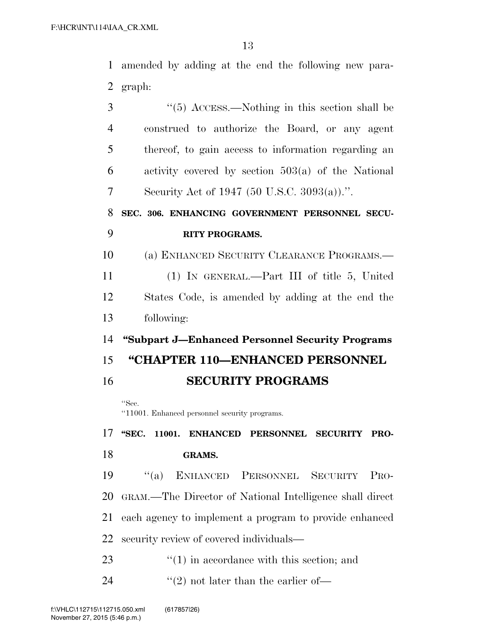amended by adding at the end the following new para-graph:

| 3              | $\cdot\cdot$ (5) ACCESS.—Nothing in this section shall be |
|----------------|-----------------------------------------------------------|
| $\overline{4}$ | construed to authorize the Board, or any agent            |
| 5              | thereof, to gain access to information regarding an       |
| 6              | activity covered by section $503(a)$ of the National      |
| 7              | Security Act of 1947 (50 U.S.C. 3093(a)).".               |
| 8              | SEC. 306. ENHANCING GOVERNMENT PERSONNEL SECU-            |
| 9              | <b>RITY PROGRAMS.</b>                                     |
| 10             | (a) ENHANCED SECURITY CLEARANCE PROGRAMS.—                |
| 11             | (1) IN GENERAL.—Part III of title 5, United               |
| 12             | States Code, is amended by adding at the end the          |
| 13             | following:                                                |
| 14             | "Subpart J-Enhanced Personnel Security Programs"          |
| 15             | "CHAPTER 110-ENHANCED PERSONNEL                           |
| 16             | <b>SECURITY PROGRAMS</b>                                  |
|                | "Sec.                                                     |

''11001. Enhanced personnel security programs.

 **''SEC. 11001. ENHANCED PERSONNEL SECURITY PRO-GRAMS.** 

 ''(a) ENHANCED PERSONNEL SECURITY PRO- GRAM.—The Director of National Intelligence shall direct each agency to implement a program to provide enhanced security review of covered individuals—

- 23 ''(1) in accordance with this section; and
- 24  $\frac{1}{2}$  (2) not later than the earlier of-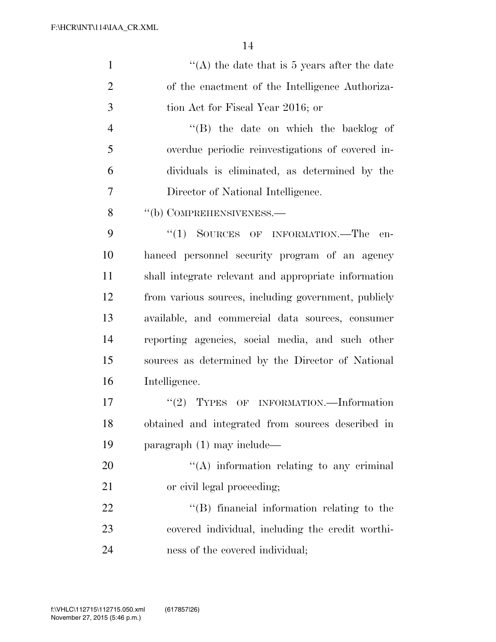| $\mathbf{1}$   | "(A) the date that is 5 years after the date         |
|----------------|------------------------------------------------------|
| $\overline{2}$ | of the enactment of the Intelligence Authoriza-      |
| 3              | tion Act for Fiscal Year 2016; or                    |
| $\overline{4}$ | "(B) the date on which the backlog of                |
| 5              | overdue periodic reinvestigations of covered in-     |
| 6              | dividuals is eliminated, as determined by the        |
| 7              | Director of National Intelligence.                   |
| 8              | "(b) COMPREHENSIVENESS.—                             |
| 9              | ``(1)<br>SOURCES OF INFORMATION.—The<br>en-          |
| 10             | hanced personnel security program of an agency       |
| 11             | shall integrate relevant and appropriate information |
| 12             | from various sources, including government, publicly |
| 13             | available, and commercial data sources, consumer     |
| 14             | reporting agencies, social media, and such other     |
| 15             | sources as determined by the Director of National    |
| 16             | Intelligence.                                        |
| 17             | "(2) TYPES OF INFORMATION.—Information               |
| 18             | obtained and integrated from sources described in    |
| 19             | paragraph (1) may include—                           |
| 20             | "(A) information relating to any criminal            |
| 21             | or civil legal proceeding;                           |
| 22             | "(B) financial information relating to the           |
| 23             | covered individual, including the credit worthi-     |
| 24             | ness of the covered individual;                      |
|                |                                                      |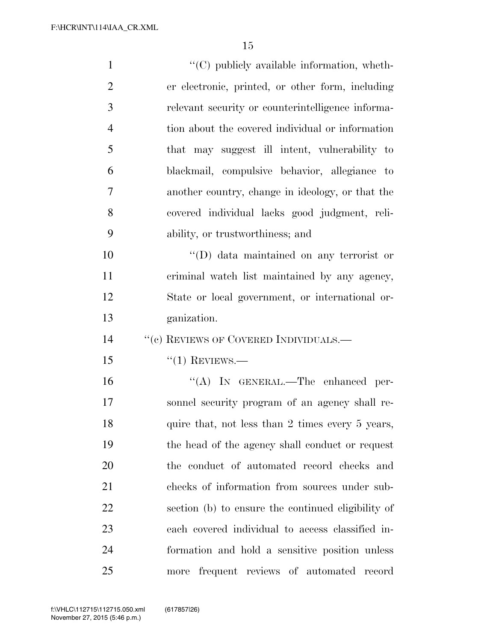| $\mathbf{1}$   | $\lq\lq$ (C) publicly available information, wheth- |
|----------------|-----------------------------------------------------|
| $\overline{2}$ | er electronic, printed, or other form, including    |
| 3              | relevant security or counterintelligence informa-   |
| $\overline{4}$ | tion about the covered individual or information    |
| 5              | that may suggest ill intent, vulnerability to       |
| 6              | blackmail, compulsive behavior, allegiance to       |
| 7              | another country, change in ideology, or that the    |
| 8              | covered individual lacks good judgment, reli-       |
| 9              | ability, or trustworthiness; and                    |
| 10             | $\lq\lq$ data maintained on any terrorist or        |
| 11             | criminal watch list maintained by any agency,       |
| 12             | State or local government, or international or-     |
| 13             | ganization.                                         |
| 14             | $``(e)$ REVIEWS OF COVERED INDIVIDUALS.—            |
| 15             | $``(1)$ REVIEWS.—                                   |
| 16             | "(A) IN GENERAL.—The enhanced per-                  |
| 17             | sonnel security program of an agency shall re-      |
| 18             | quire that, not less than 2 times every 5 years,    |
| 19             | the head of the agency shall conduct or request     |
| 20             | the conduct of automated record checks and          |
| 21             | checks of information from sources under sub-       |
| 22             | section (b) to ensure the continued eligibility of  |
| 23             | each covered individual to access classified in-    |
| 24             | formation and hold a sensitive position unless      |
| 25             | more frequent reviews of automated record           |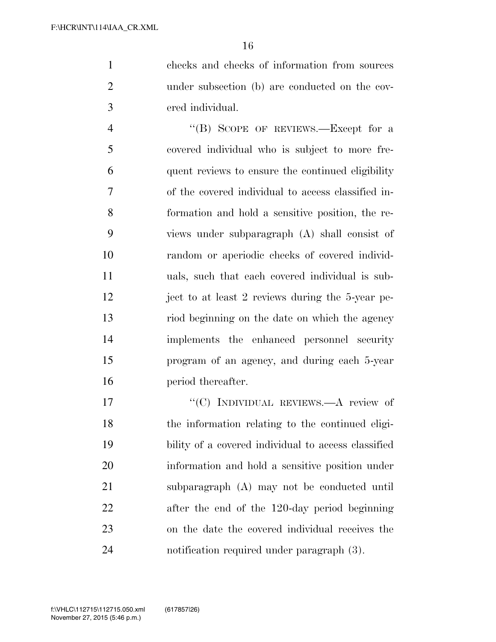checks and checks of information from sources under subsection (b) are conducted on the cov-ered individual.

4 "(B) SCOPE OF REVIEWS.—Except for a covered individual who is subject to more fre- quent reviews to ensure the continued eligibility of the covered individual to access classified in- formation and hold a sensitive position, the re- views under subparagraph (A) shall consist of random or aperiodic checks of covered individ- uals, such that each covered individual is sub- ject to at least 2 reviews during the 5-year pe- riod beginning on the date on which the agency implements the enhanced personnel security program of an agency, and during each 5-year period thereafter.

17 ""(C) INDIVIDUAL REVIEWS.—A review of the information relating to the continued eligi- bility of a covered individual to access classified information and hold a sensitive position under subparagraph (A) may not be conducted until after the end of the 120-day period beginning on the date the covered individual receives the notification required under paragraph (3).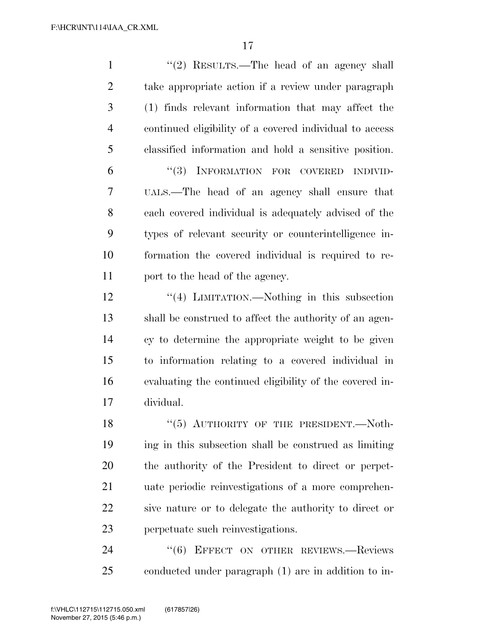| $\mathbf{1}$   | "(2) RESULTS.—The head of an agency shall               |
|----------------|---------------------------------------------------------|
| $\overline{2}$ | take appropriate action if a review under paragraph     |
| 3              | (1) finds relevant information that may affect the      |
| $\overline{4}$ | continued eligibility of a covered individual to access |
| 5              | classified information and hold a sensitive position.   |
| 6              | (3)<br>INFORMATION FOR COVERED INDIVID-                 |
| 7              | UALS.—The head of an agency shall ensure that           |
| 8              | each covered individual is adequately advised of the    |
| 9              | types of relevant security or counterintelligence in-   |
| 10             | formation the covered individual is required to re-     |
| 11             | port to the head of the agency.                         |
| 12             | "(4) LIMITATION.—Nothing in this subsection             |
| 13             | shall be construed to affect the authority of an agen-  |
| 14             | cy to determine the appropriate weight to be given      |
| 15             | to information relating to a covered individual in      |
| 16             | evaluating the continued eligibility of the covered in- |
| 17             | dividual.                                               |
| 18             | $``(5)$ AUTHORITY OF THE PRESIDENT. - Noth-             |
| 19             | ing in this subsection shall be construed as limiting   |
| 20             | the authority of the President to direct or perpet-     |
| 21             | uate periodic reinvestigations of a more comprehen-     |
| 22             | sive nature or to delegate the authority to direct or   |
| 23             | perpetuate such reinvestigations.                       |
| 24             | "(6) EFFECT ON OTHER REVIEWS.-Reviews                   |

conducted under paragraph (1) are in addition to in-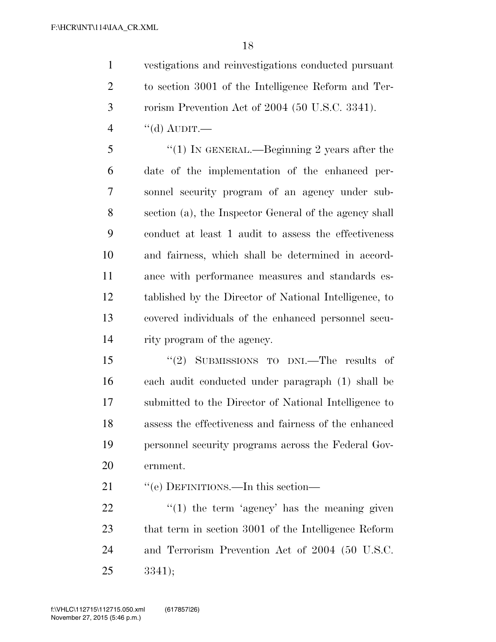vestigations and reinvestigations conducted pursuant to section 3001 of the Intelligence Reform and Ter-rorism Prevention Act of 2004 (50 U.S.C. 3341).

"(d) AUDIT.

 ''(1) IN GENERAL.—Beginning 2 years after the date of the implementation of the enhanced per- sonnel security program of an agency under sub- section (a), the Inspector General of the agency shall conduct at least 1 audit to assess the effectiveness and fairness, which shall be determined in accord- ance with performance measures and standards es- tablished by the Director of National Intelligence, to covered individuals of the enhanced personnel secu-rity program of the agency.

 ''(2) SUBMISSIONS TO DNI.—The results of each audit conducted under paragraph (1) shall be submitted to the Director of National Intelligence to assess the effectiveness and fairness of the enhanced personnel security programs across the Federal Gov-ernment.

21 "'(e) DEFINITIONS.—In this section—

 $\frac{1}{2}$   $\frac{1}{2}$  the term 'agency' has the meaning given that term in section 3001 of the Intelligence Reform and Terrorism Prevention Act of 2004 (50 U.S.C. 3341);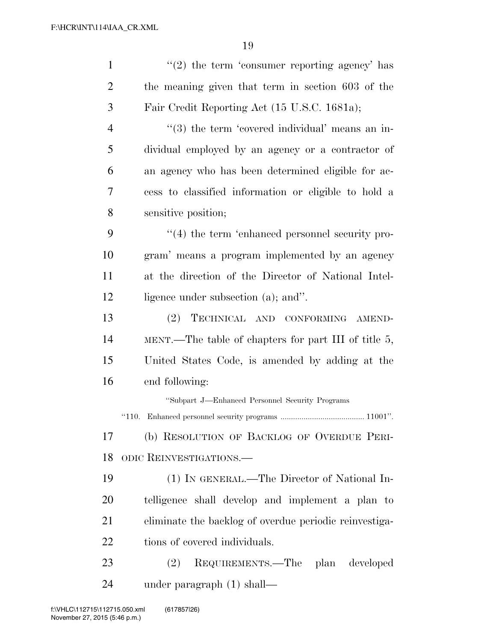| $\mathbf{1}$   | $\lq(2)$ the term 'consumer reporting agency' has      |
|----------------|--------------------------------------------------------|
| $\overline{2}$ | the meaning given that term in section 603 of the      |
| 3              | Fair Credit Reporting Act (15 U.S.C. 1681a);           |
| $\overline{4}$ | "(3) the term 'covered individual' means an in-        |
| 5              | dividual employed by an agency or a contractor of      |
| 6              | an agency who has been determined eligible for ac-     |
| 7              | cess to classified information or eligible to hold a   |
| 8              | sensitive position;                                    |
| 9              | $\cdot$ (4) the term 'enhanced personnel security pro- |
| 10             | gram' means a program implemented by an agency         |
| 11             | at the direction of the Director of National Intel-    |
| 12             | ligence under subsection (a); and".                    |
| 13             | TECHNICAL AND CONFORMING AMEND-<br>(2)                 |
| 14             | MENT.—The table of chapters for part III of title 5,   |
| 15             | United States Code, is amended by adding at the        |
| 16             | end following:                                         |
|                | "Subpart J—Enhanced Personnel Security Programs        |
|                |                                                        |
| 17             | (b) RESOLUTION OF BACKLOG OF OVERDUE PERI-             |
| 18             | ODIC REINVESTIGATIONS.                                 |
| 19             | (1) IN GENERAL.—The Director of National In-           |
| 20             | telligence shall develop and implement a plan to       |
| 21             | eliminate the backlog of overdue periodic reinvestiga- |
| 22             | tions of covered individuals.                          |
| 23             | REQUIREMENTS.—The plan developed<br>(2)                |
| 24             | under paragraph (1) shall—                             |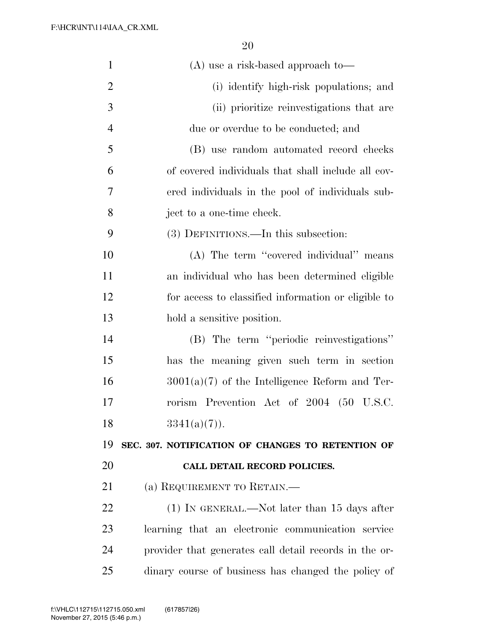| $\mathbf{1}$   | $(A)$ use a risk-based approach to-                    |
|----------------|--------------------------------------------------------|
| $\overline{2}$ | (i) identify high-risk populations; and                |
| 3              | (ii) prioritize reinvestigations that are              |
| $\overline{4}$ | due or overdue to be conducted; and                    |
| 5              | (B) use random automated record checks                 |
| 6              | of covered individuals that shall include all cov-     |
| 7              | ered individuals in the pool of individuals sub-       |
| 8              | ject to a one-time check.                              |
| 9              | (3) DEFINITIONS.—In this subsection:                   |
| 10             | (A) The term "covered individual" means                |
| 11             | an individual who has been determined eligible         |
| 12             | for access to classified information or eligible to    |
| 13             | hold a sensitive position.                             |
| 14             | (B) The term "periodic reinvestigations"               |
| 15             | has the meaning given such term in section             |
| 16             | $3001(a)(7)$ of the Intelligence Reform and Ter-       |
| 17             | rorism Prevention Act of 2004 (50 U.S.C.               |
| 18             | $3341(a)(7)$ .                                         |
| 19             | SEC. 307. NOTIFICATION OF CHANGES TO RETENTION OF      |
| 20             | CALL DETAIL RECORD POLICIES.                           |
| 21             | (a) REQUIREMENT TO RETAIN.—                            |
| 22             | $(1)$ In GENERAL.—Not later than 15 days after         |
| 23             | learning that an electronic communication service      |
| 24             | provider that generates call detail records in the or- |
| 25             | dinary course of business has changed the policy of    |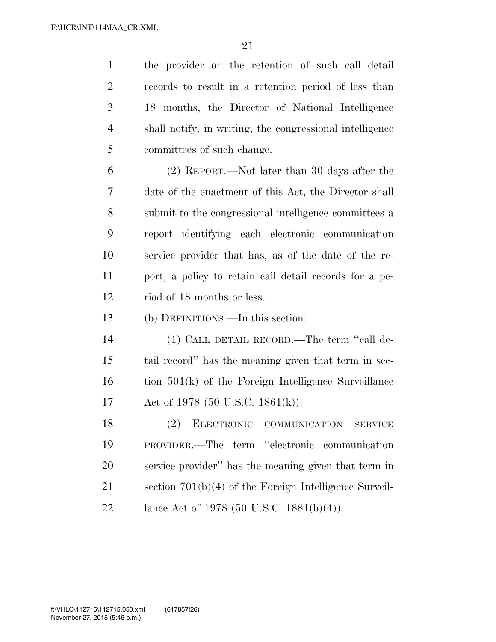| $\mathbf{1}$   | the provider on the retention of such call detail        |
|----------------|----------------------------------------------------------|
| $\overline{2}$ | records to result in a retention period of less than     |
| 3              | 18 months, the Director of National Intelligence         |
| $\overline{4}$ | shall notify, in writing, the congressional intelligence |
| 5              | committees of such change.                               |
| 6              | (2) REPORT.—Not later than 30 days after the             |
| 7              | date of the enactment of this Act, the Director shall    |
| 8              | submit to the congressional intelligence committees a    |
| 9              | report identifying each electronic communication         |
| 10             | service provider that has, as of the date of the re-     |
| 11             | port, a policy to retain call detail records for a pe-   |
| 12             | riod of 18 months or less.                               |
| 13             | (b) DEFINITIONS.—In this section:                        |
| 14             | (1) CALL DETAIL RECORD.—The term "call de-               |
| 15             | tail record" has the meaning given that term in sec-     |
| 16             | tion $501(k)$ of the Foreign Intelligence Surveillance   |
| 17             | Act of 1978 (50 U.S.C. 1861(k)).                         |
| 18             | (2) ELECTRONIC COMMUNICATION SERVICE                     |
| 19             | PROVIDER.—The term "electronic<br>communication          |
| 20             | service provider" has the meaning given that term in     |
| 21             | section $701(b)(4)$ of the Foreign Intelligence Surveil- |
| 22             | lance Act of 1978 (50 U.S.C. 1881(b)(4)).                |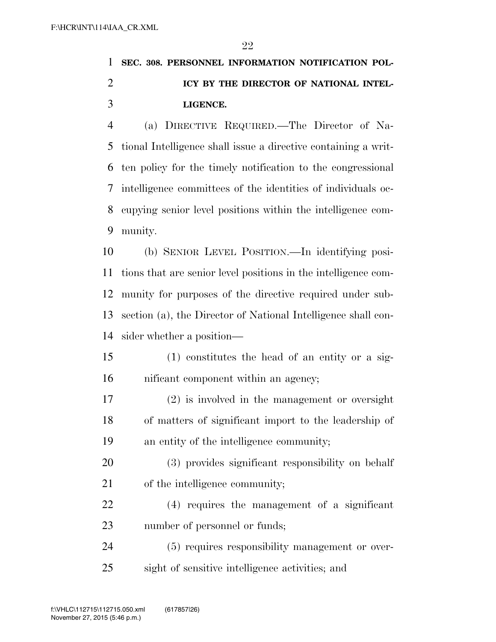## **SEC. 308. PERSONNEL INFORMATION NOTIFICATION POL- ICY BY THE DIRECTOR OF NATIONAL INTEL-LIGENCE.**

 (a) DIRECTIVE REQUIRED.—The Director of Na- tional Intelligence shall issue a directive containing a writ- ten policy for the timely notification to the congressional intelligence committees of the identities of individuals oc- cupying senior level positions within the intelligence com-munity.

 (b) SENIOR LEVEL POSITION.—In identifying posi- tions that are senior level positions in the intelligence com- munity for purposes of the directive required under sub- section (a), the Director of National Intelligence shall con-sider whether a position—

- (1) constitutes the head of an entity or a sig-nificant component within an agency;
- (2) is involved in the management or oversight of matters of significant import to the leadership of an entity of the intelligence community;
- (3) provides significant responsibility on behalf of the intelligence community;
- (4) requires the management of a significant number of personnel or funds;
- (5) requires responsibility management or over-sight of sensitive intelligence activities; and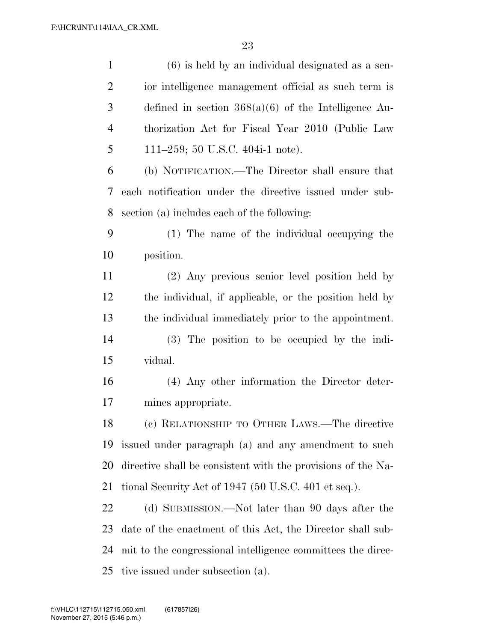| $\mathbf{1}$   | $(6)$ is held by an individual designated as a sen-          |
|----------------|--------------------------------------------------------------|
| $\overline{2}$ | ior intelligence management official as such term is         |
| 3              | defined in section $368(a)(6)$ of the Intelligence Au-       |
| $\overline{4}$ | thorization Act for Fiscal Year 2010 (Public Law             |
| 5              | 111–259; 50 U.S.C. 404i-1 note).                             |
| 6              | (b) NOTIFICATION.—The Director shall ensure that             |
| 7              | each notification under the directive issued under sub-      |
| 8              | section (a) includes each of the following:                  |
| 9              | (1) The name of the individual occupying the                 |
| 10             | position.                                                    |
| 11             | (2) Any previous senior level position held by               |
| 12             | the individual, if applicable, or the position held by       |
| 13             | the individual immediately prior to the appointment.         |
| 14             | (3) The position to be occupied by the indi-                 |
| 15             | vidual.                                                      |
| 16             | (4) Any other information the Director deter-                |
| 17             | mines appropriate.                                           |
| 18             | (c) RELATIONSHIP TO OTHER LAWS.—The directive                |
| 19             | issued under paragraph (a) and any amendment to such         |
| 20             | directive shall be consistent with the provisions of the Na- |
| 21             | tional Security Act of 1947 (50 U.S.C. 401 et seq.).         |
| 22             | (d) SUBMISSION.—Not later than 90 days after the             |
| 23             | date of the enactment of this Act, the Director shall sub-   |
| 24             | mit to the congressional intelligence committees the direc-  |
| 25             | tive issued under subsection (a).                            |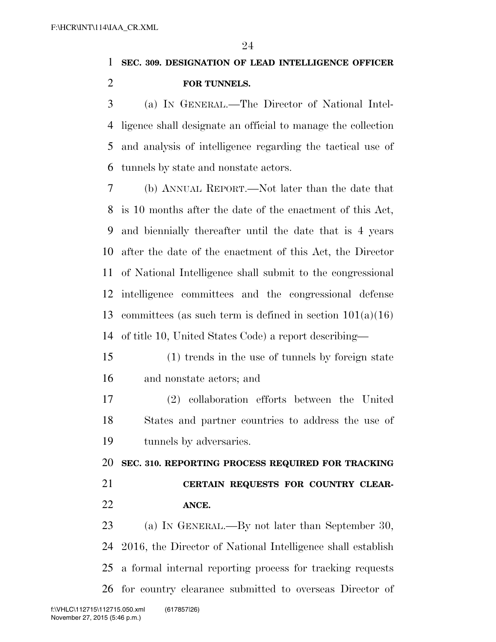**SEC. 309. DESIGNATION OF LEAD INTELLIGENCE OFFICER FOR TUNNELS.** 

 (a) IN GENERAL.—The Director of National Intel- ligence shall designate an official to manage the collection and analysis of intelligence regarding the tactical use of tunnels by state and nonstate actors.

 (b) ANNUAL REPORT.—Not later than the date that is 10 months after the date of the enactment of this Act, and biennially thereafter until the date that is 4 years after the date of the enactment of this Act, the Director of National Intelligence shall submit to the congressional intelligence committees and the congressional defense committees (as such term is defined in section 101(a)(16) of title 10, United States Code) a report describing—

- (1) trends in the use of tunnels by foreign state and nonstate actors; and
- (2) collaboration efforts between the United States and partner countries to address the use of tunnels by adversaries.

 **SEC. 310. REPORTING PROCESS REQUIRED FOR TRACKING CERTAIN REQUESTS FOR COUNTRY CLEAR-ANCE.** 

 (a) IN GENERAL.—By not later than September 30, 2016, the Director of National Intelligence shall establish a formal internal reporting process for tracking requests for country clearance submitted to overseas Director of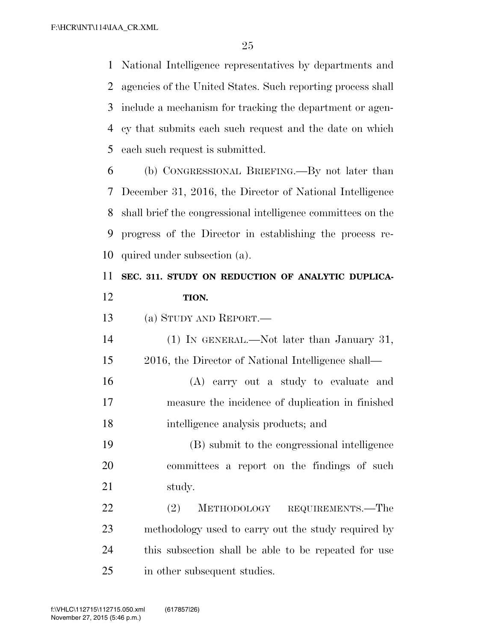National Intelligence representatives by departments and agencies of the United States. Such reporting process shall include a mechanism for tracking the department or agen- cy that submits each such request and the date on which each such request is submitted.

 (b) CONGRESSIONAL BRIEFING.—By not later than December 31, 2016, the Director of National Intelligence shall brief the congressional intelligence committees on the progress of the Director in establishing the process re-quired under subsection (a).

### **SEC. 311. STUDY ON REDUCTION OF ANALYTIC DUPLICA-TION.**

(a) STUDY AND REPORT.—

 (1) IN GENERAL.—Not later than January 31, 2016, the Director of National Intelligence shall—

 (A) carry out a study to evaluate and measure the incidence of duplication in finished intelligence analysis products; and

 (B) submit to the congressional intelligence committees a report on the findings of such study.

22 (2) METHODOLOGY REQUIREMENTS.—The methodology used to carry out the study required by this subsection shall be able to be repeated for use in other subsequent studies.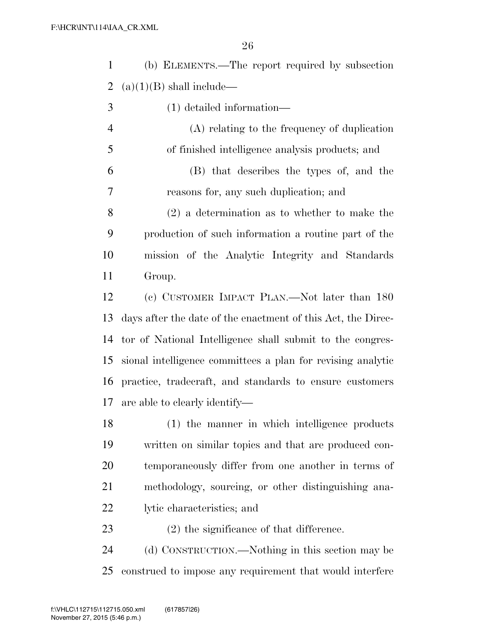|               | (b) ELEMENTS.—The report required by subsection |
|---------------|-------------------------------------------------|
|               | 2 (a) $(1)(B)$ shall include—                   |
| $\mathcal{R}$ | $(1)$ detailed information—                     |

 (A) relating to the frequency of duplication of finished intelligence analysis products; and (B) that describes the types of, and the

reasons for, any such duplication; and

 (2) a determination as to whether to make the production of such information a routine part of the mission of the Analytic Integrity and Standards Group.

 (c) CUSTOMER IMPACT PLAN.—Not later than 180 days after the date of the enactment of this Act, the Direc- tor of National Intelligence shall submit to the congres- sional intelligence committees a plan for revising analytic practice, tradecraft, and standards to ensure customers are able to clearly identify—

 (1) the manner in which intelligence products written on similar topics and that are produced con- temporaneously differ from one another in terms of methodology, sourcing, or other distinguishing ana-lytic characteristics; and

(2) the significance of that difference.

 (d) CONSTRUCTION.—Nothing in this section may be construed to impose any requirement that would interfere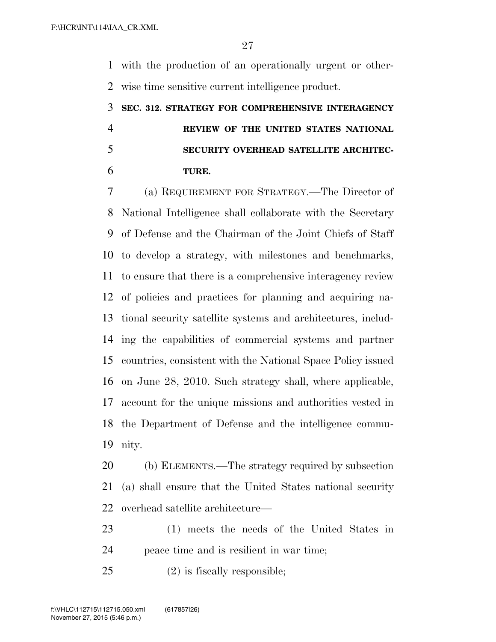with the production of an operationally urgent or other-wise time sensitive current intelligence product.

## **SEC. 312. STRATEGY FOR COMPREHENSIVE INTERAGENCY REVIEW OF THE UNITED STATES NATIONAL SECURITY OVERHEAD SATELLITE ARCHITEC-TURE.**

 (a) REQUIREMENT FOR STRATEGY.—The Director of National Intelligence shall collaborate with the Secretary of Defense and the Chairman of the Joint Chiefs of Staff to develop a strategy, with milestones and benchmarks, to ensure that there is a comprehensive interagency review of policies and practices for planning and acquiring na- tional security satellite systems and architectures, includ- ing the capabilities of commercial systems and partner countries, consistent with the National Space Policy issued on June 28, 2010. Such strategy shall, where applicable, account for the unique missions and authorities vested in the Department of Defense and the intelligence commu-nity.

 (b) ELEMENTS.—The strategy required by subsection (a) shall ensure that the United States national security overhead satellite architecture—

 (1) meets the needs of the United States in peace time and is resilient in war time;

(2) is fiscally responsible;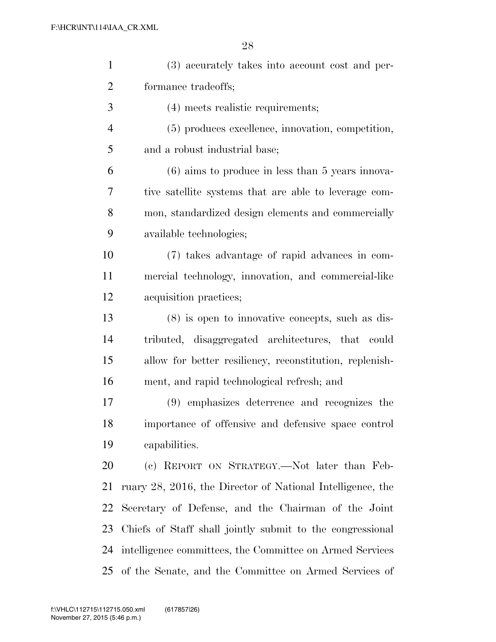| $\mathbf{1}$   | (3) accurately takes into account cost and per-            |
|----------------|------------------------------------------------------------|
| $\overline{2}$ | formance tradeoffs;                                        |
| 3              | (4) meets realistic requirements;                          |
| $\overline{4}$ | (5) produces excellence, innovation, competition,          |
| 5              | and a robust industrial base;                              |
| 6              | $(6)$ aims to produce in less than 5 years innova-         |
| 7              | tive satellite systems that are able to leverage com-      |
| 8              | mon, standardized design elements and commercially         |
| 9              | available technologies;                                    |
| 10             | (7) takes advantage of rapid advances in com-              |
| 11             | mercial technology, innovation, and commercial-like        |
| 12             | acquisition practices;                                     |
| 13             | $(8)$ is open to innovative concepts, such as dis-         |
| 14             | tributed, disaggregated architectures, that could          |
| 15             | allow for better resiliency, reconstitution, replenish-    |
| 16             | ment, and rapid technological refresh; and                 |
| $17\,$         | (9) emphasizes deterrence and recognizes the               |
| 18             | importance of offensive and defensive space control        |
| 19             | capabilities.                                              |
| 20             | (c) REPORT ON STRATEGY.—Not later than Feb-                |
| 21             | ruary 28, 2016, the Director of National Intelligence, the |
| 22             | Secretary of Defense, and the Chairman of the Joint        |
| 23             | Chiefs of Staff shall jointly submit to the congressional  |
| 24             | intelligence committees, the Committee on Armed Services   |
| 25             | of the Senate, and the Committee on Armed Services of      |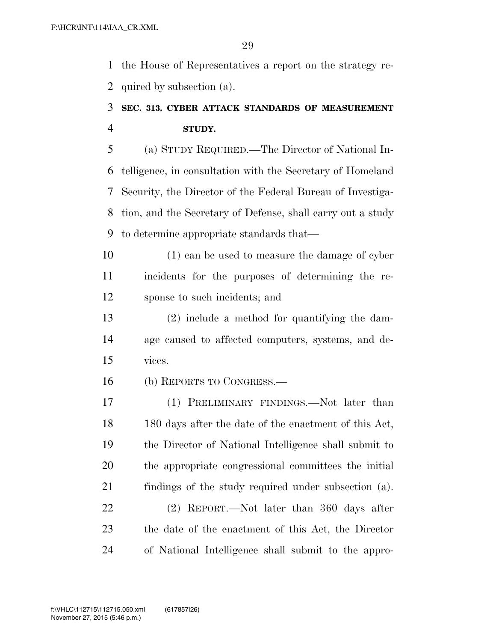the House of Representatives a report on the strategy re-quired by subsection (a).

### **SEC. 313. CYBER ATTACK STANDARDS OF MEASUREMENT STUDY.**

 (a) STUDY REQUIRED.—The Director of National In- telligence, in consultation with the Secretary of Homeland Security, the Director of the Federal Bureau of Investiga- tion, and the Secretary of Defense, shall carry out a study to determine appropriate standards that—

 (1) can be used to measure the damage of cyber incidents for the purposes of determining the re-sponse to such incidents; and

 (2) include a method for quantifying the dam- age caused to affected computers, systems, and de-vices.

(b) REPORTS TO CONGRESS.—

 (1) PRELIMINARY FINDINGS.—Not later than 180 days after the date of the enactment of this Act, the Director of National Intelligence shall submit to the appropriate congressional committees the initial findings of the study required under subsection (a).

 (2) REPORT.—Not later than 360 days after the date of the enactment of this Act, the Director of National Intelligence shall submit to the appro-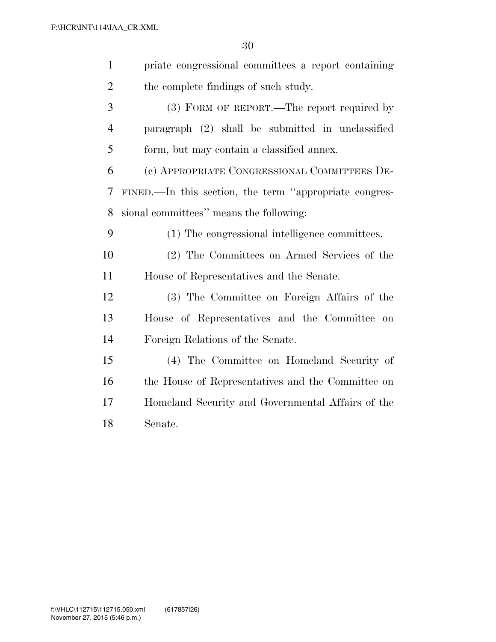| $\mathbf{1}$   | priate congressional committees a report containing    |
|----------------|--------------------------------------------------------|
| $\overline{2}$ | the complete findings of such study.                   |
| 3              | (3) FORM OF REPORT.—The report required by             |
| $\overline{4}$ | paragraph (2) shall be submitted in unclassified       |
| 5              | form, but may contain a classified annex.              |
| 6              | (c) APPROPRIATE CONGRESSIONAL COMMITTEES DE-           |
| 7              | FINED.—In this section, the term "appropriate congres- |
| 8              | sional committees" means the following:                |
| 9              | (1) The congressional intelligence committees.         |
| 10             | (2) The Committees on Armed Services of the            |
| 11             | House of Representatives and the Senate.               |
| 12             | (3) The Committee on Foreign Affairs of the            |
| 13             | House of Representatives and the Committee on          |
| 14             | Foreign Relations of the Senate.                       |
| 15             | (4) The Committee on Homeland Security of              |
| 16             | the House of Representatives and the Committee on      |
| 17             | Homeland Security and Governmental Affairs of the      |
| 18             | Senate.                                                |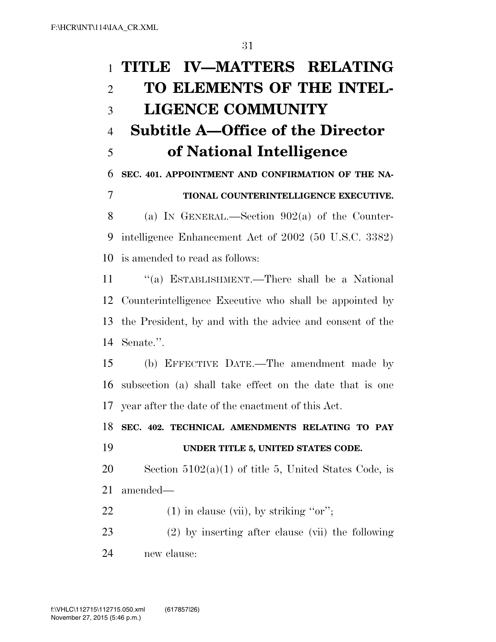| $\mathbf{1}$   | TITLE IV-MATTERS RELATING                                |
|----------------|----------------------------------------------------------|
| $\overline{2}$ | TO ELEMENTS OF THE INTEL-                                |
| 3              | <b>LIGENCE COMMUNITY</b>                                 |
| $\overline{4}$ | <b>Subtitle A–Office of the Director</b>                 |
| 5              | of National Intelligence                                 |
| 6              | SEC. 401. APPOINTMENT AND CONFIRMATION OF THE NA-        |
| 7              | TIONAL COUNTERINTELLIGENCE EXECUTIVE.                    |
| 8              | (a) IN GENERAL.—Section $902(a)$ of the Counter-         |
| 9              | intelligence Enhancement Act of 2002 (50 U.S.C. 3382)    |
| 10             | is amended to read as follows:                           |
| 11             | "(a) ESTABLISHMENT.—There shall be a National            |
| 12             | Counterintelligence Executive who shall be appointed by  |
| 13             | the President, by and with the advice and consent of the |
| 14             | Senate.".                                                |
| 15             | (b) EFFECTIVE DATE.—The amendment made by                |
| 16             | subsection (a) shall take effect on the date that is one |
| 17             | year after the date of the enactment of this Act.        |
| 18             | SEC. 402. TECHNICAL AMENDMENTS RELATING TO PAY           |
| 19             | UNDER TITLE 5, UNITED STATES CODE.                       |
| 20             | Section $5102(a)(1)$ of title 5, United States Code, is  |
| 21             | amended—                                                 |
| 22             | $(1)$ in clause (vii), by striking "or";                 |
| 23             | $(2)$ by inserting after clause (vii) the following      |
| 24             | new clause:                                              |
|                |                                                          |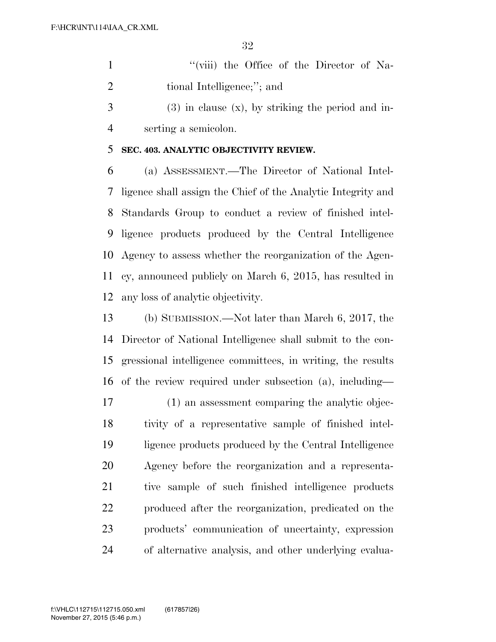1 ''(viii) the Office of the Director of Na-2 tional Intelligence;"; and

 $3 \t(3)$  in clause  $(x)$ , by striking the period and in-serting a semicolon.

### **SEC. 403. ANALYTIC OBJECTIVITY REVIEW.**

 (a) ASSESSMENT.—The Director of National Intel- ligence shall assign the Chief of the Analytic Integrity and Standards Group to conduct a review of finished intel- ligence products produced by the Central Intelligence Agency to assess whether the reorganization of the Agen- cy, announced publicly on March 6, 2015, has resulted in any loss of analytic objectivity.

 (b) SUBMISSION.—Not later than March 6, 2017, the Director of National Intelligence shall submit to the con- gressional intelligence committees, in writing, the results of the review required under subsection (a), including—

 (1) an assessment comparing the analytic objec- tivity of a representative sample of finished intel- ligence products produced by the Central Intelligence Agency before the reorganization and a representa- tive sample of such finished intelligence products produced after the reorganization, predicated on the products' communication of uncertainty, expression of alternative analysis, and other underlying evalua-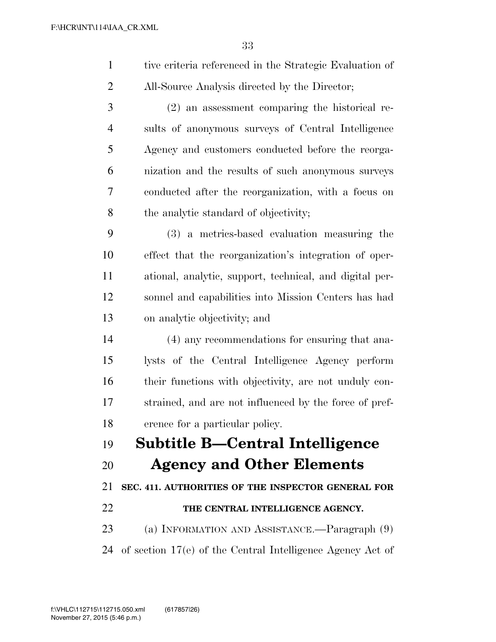| $\mathbf{1}$   | tive criteria referenced in the Strategic Evaluation of |
|----------------|---------------------------------------------------------|
| $\overline{2}$ | All-Source Analysis directed by the Director;           |
| 3              | (2) an assessment comparing the historical re-          |
| $\overline{4}$ | sults of anonymous surveys of Central Intelligence      |
| 5              | Agency and customers conducted before the reorga-       |
| 6              | nization and the results of such anonymous surveys      |
| 7              | conducted after the reorganization, with a focus on     |
| 8              | the analytic standard of objectivity;                   |
| 9              | (3) a metrics-based evaluation measuring the            |
| 10             | effect that the reorganization's integration of oper-   |
| 11             | ational, analytic, support, technical, and digital per- |
| 12             | sonnel and capabilities into Mission Centers has had    |
| 13             | on analytic objectivity; and                            |
| 14             | (4) any recommendations for ensuring that ana-          |
| 15             | lysts of the Central Intelligence Agency perform        |
| 16             | their functions with objectivity, are not unduly con-   |
| 17             | strained, and are not influenced by the force of pref-  |
| 18             | erence for a particular policy.                         |
| 19             | Subtitle B—Central Intelligence                         |
| 20             | <b>Agency and Other Elements</b>                        |
| 21             | SEC. 411. AUTHORITIES OF THE INSPECTOR GENERAL FOR      |
| 22             | THE CENTRAL INTELLIGENCE AGENCY.                        |
| 23             | (a) INFORMATION AND ASSISTANCE.—Paragraph (9)           |

of section 17(e) of the Central Intelligence Agency Act of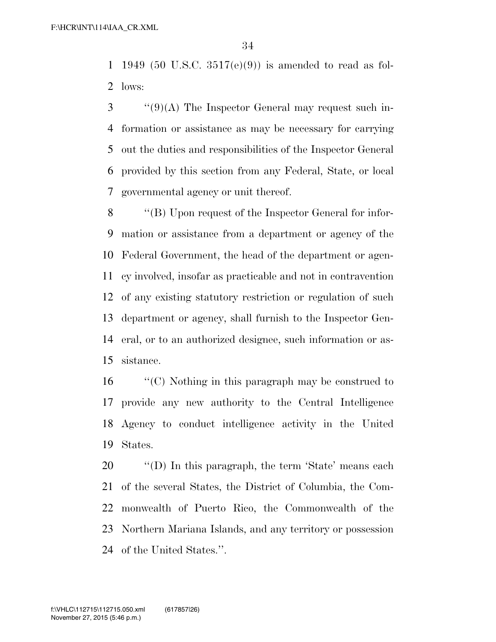1949 (50 U.S.C. 3517(e)(9)) is amended to read as fol-lows:

 ''(9)(A) The Inspector General may request such in- formation or assistance as may be necessary for carrying out the duties and responsibilities of the Inspector General provided by this section from any Federal, State, or local governmental agency or unit thereof.

 ''(B) Upon request of the Inspector General for infor- mation or assistance from a department or agency of the Federal Government, the head of the department or agen- cy involved, insofar as practicable and not in contravention of any existing statutory restriction or regulation of such department or agency, shall furnish to the Inspector Gen- eral, or to an authorized designee, such information or as-sistance.

 ''(C) Nothing in this paragraph may be construed to provide any new authority to the Central Intelligence Agency to conduct intelligence activity in the United States.

 $\langle\text{`(D)}\rangle$  In this paragraph, the term 'State' means each of the several States, the District of Columbia, the Com- monwealth of Puerto Rico, the Commonwealth of the Northern Mariana Islands, and any territory or possession of the United States.''.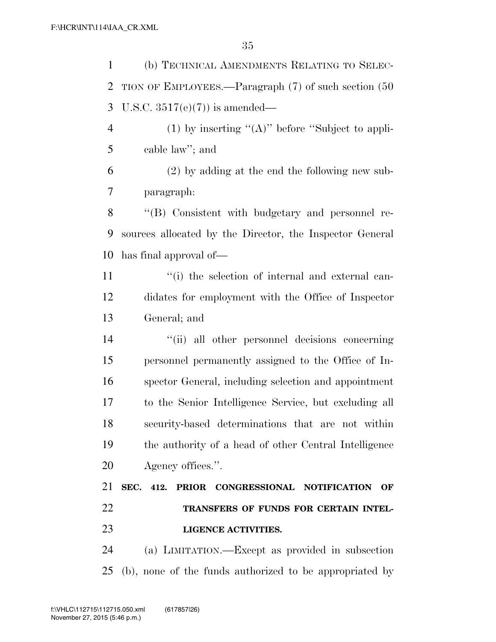(b) TECHNICAL AMENDMENTS RELATING TO SELEC- TION OF EMPLOYEES.—Paragraph (7) of such section (50 U.S.C. 3517(e)(7)) is amended— 4 (1) by inserting  $"({\bf A})"$  before "Subject to appli- cable law''; and (2) by adding at the end the following new sub- paragraph: ''(B) Consistent with budgetary and personnel re- sources allocated by the Director, the Inspector General has final approval of— 11 ''(i) the selection of internal and external can- didates for employment with the Office of Inspector General; and ''(ii) all other personnel decisions concerning personnel permanently assigned to the Office of In- spector General, including selection and appointment to the Senior Intelligence Service, but excluding all security-based determinations that are not within the authority of a head of other Central Intelligence Agency offices.''. **SEC. 412. PRIOR CONGRESSIONAL NOTIFICATION OF TRANSFERS OF FUNDS FOR CERTAIN INTEL- LIGENCE ACTIVITIES.**  (a) LIMITATION.—Except as provided in subsection

(b), none of the funds authorized to be appropriated by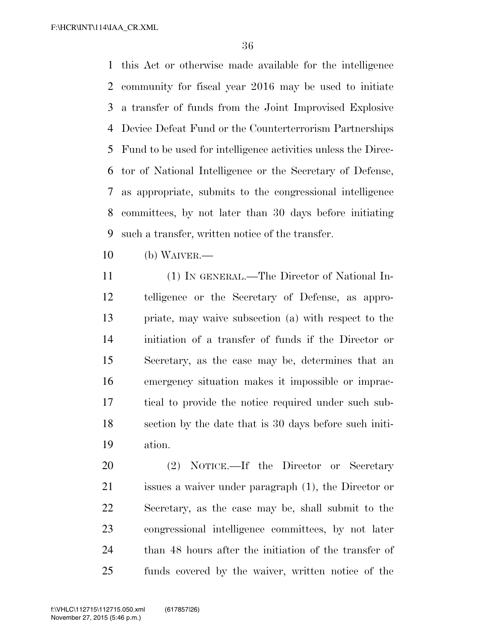F:\HCR\INT\114\IAA\_CR.XML

 this Act or otherwise made available for the intelligence community for fiscal year 2016 may be used to initiate a transfer of funds from the Joint Improvised Explosive Device Defeat Fund or the Counterterrorism Partnerships Fund to be used for intelligence activities unless the Direc- tor of National Intelligence or the Secretary of Defense, as appropriate, submits to the congressional intelligence committees, by not later than 30 days before initiating such a transfer, written notice of the transfer.

(b) WAIVER.—

 (1) IN GENERAL.—The Director of National In- telligence or the Secretary of Defense, as appro- priate, may waive subsection (a) with respect to the initiation of a transfer of funds if the Director or Secretary, as the case may be, determines that an emergency situation makes it impossible or imprac- tical to provide the notice required under such sub- section by the date that is 30 days before such initi-ation.

 (2) NOTICE.—If the Director or Secretary issues a waiver under paragraph (1), the Director or Secretary, as the case may be, shall submit to the congressional intelligence committees, by not later than 48 hours after the initiation of the transfer of funds covered by the waiver, written notice of the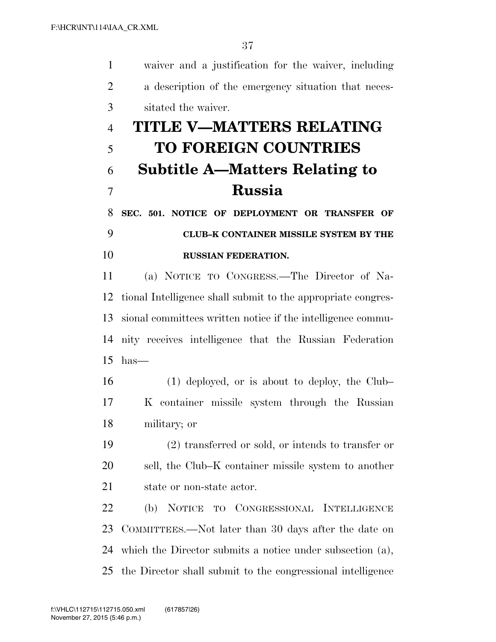waiver and a justification for the waiver, including

 a description of the emergency situation that neces- sitated the waiver. **TITLE V—MATTERS RELATING TO FOREIGN COUNTRIES Subtitle A—Matters Relating to Russia SEC. 501. NOTICE OF DEPLOYMENT OR TRANSFER OF CLUB–K CONTAINER MISSILE SYSTEM BY THE RUSSIAN FEDERATION.**  (a) NOTICE TO CONGRESS.—The Director of Na- tional Intelligence shall submit to the appropriate congres- sional committees written notice if the intelligence commu- nity receives intelligence that the Russian Federation has— (1) deployed, or is about to deploy, the Club– K container missile system through the Russian military; or (2) transferred or sold, or intends to transfer or sell, the Club–K container missile system to another state or non-state actor. (b) NOTICE TO CONGRESSIONAL INTELLIGENCE COMMITTEES.—Not later than 30 days after the date on which the Director submits a notice under subsection (a),

the Director shall submit to the congressional intelligence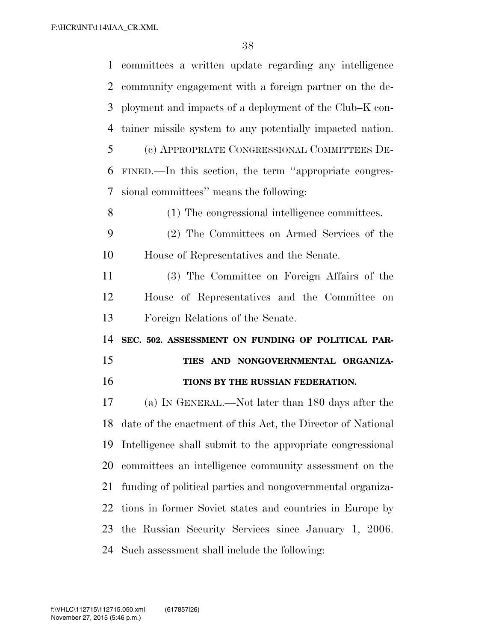committees a written update regarding any intelligence community engagement with a foreign partner on the de- ployment and impacts of a deployment of the Club–K con- tainer missile system to any potentially impacted nation. (c) APPROPRIATE CONGRESSIONAL COMMITTEES DE- FINED.—In this section, the term ''appropriate congres- sional committees'' means the following: (1) The congressional intelligence committees. (2) The Committees on Armed Services of the House of Representatives and the Senate. (3) The Committee on Foreign Affairs of the House of Representatives and the Committee on Foreign Relations of the Senate. **SEC. 502. ASSESSMENT ON FUNDING OF POLITICAL PAR- TIES AND NONGOVERNMENTAL ORGANIZA- TIONS BY THE RUSSIAN FEDERATION.**  (a) IN GENERAL.—Not later than 180 days after the date of the enactment of this Act, the Director of National Intelligence shall submit to the appropriate congressional committees an intelligence community assessment on the funding of political parties and nongovernmental organiza- tions in former Soviet states and countries in Europe by the Russian Security Services since January 1, 2006. Such assessment shall include the following: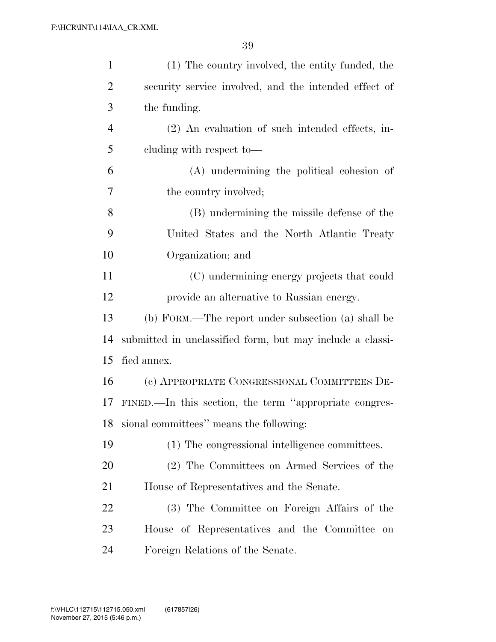| $\mathbf{1}$   | (1) The country involved, the entity funded, the          |
|----------------|-----------------------------------------------------------|
| $\overline{2}$ | security service involved, and the intended effect of     |
| 3              | the funding.                                              |
| $\overline{4}$ | (2) An evaluation of such intended effects, in-           |
| 5              | cluding with respect to-                                  |
| 6              | (A) undermining the political cohesion of                 |
| 7              | the country involved;                                     |
| 8              | (B) undermining the missile defense of the                |
| 9              | United States and the North Atlantic Treaty               |
| 10             | Organization; and                                         |
| 11             | (C) undermining energy projects that could                |
| 12             | provide an alternative to Russian energy.                 |
| 13             | (b) FORM.—The report under subsection (a) shall be        |
| 14             | submitted in unclassified form, but may include a classi- |
| 15             | fied annex.                                               |
| 16             | (c) APPROPRIATE CONGRESSIONAL COMMITTEES DE-              |
| 17             | FINED.—In this section, the term "appropriate congres-    |
| 18             | sional committees" means the following:                   |
| 19             | (1) The congressional intelligence committees.            |
| 20             | (2) The Committees on Armed Services of the               |
| 21             | House of Representatives and the Senate.                  |
| 22             | (3) The Committee on Foreign Affairs of the               |
| 23             | House of Representatives and the Committee<br>on          |
| 24             | Foreign Relations of the Senate.                          |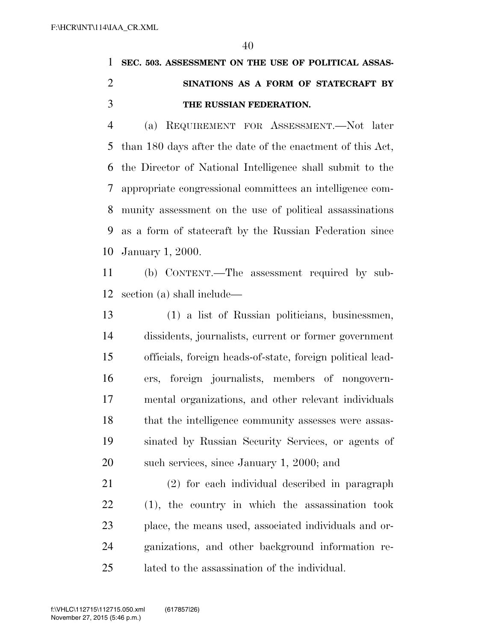## **SEC. 503. ASSESSMENT ON THE USE OF POLITICAL ASSAS- SINATIONS AS A FORM OF STATECRAFT BY THE RUSSIAN FEDERATION.**

 (a) REQUIREMENT FOR ASSESSMENT.—Not later than 180 days after the date of the enactment of this Act, the Director of National Intelligence shall submit to the appropriate congressional committees an intelligence com- munity assessment on the use of political assassinations as a form of statecraft by the Russian Federation since January 1, 2000.

 (b) CONTENT.—The assessment required by sub-section (a) shall include—

 (1) a list of Russian politicians, businessmen, dissidents, journalists, current or former government officials, foreign heads-of-state, foreign political lead- ers, foreign journalists, members of nongovern- mental organizations, and other relevant individuals that the intelligence community assesses were assas- sinated by Russian Security Services, or agents of 20 such services, since January 1, 2000; and

 (2) for each individual described in paragraph (1), the country in which the assassination took place, the means used, associated individuals and or- ganizations, and other background information re-lated to the assassination of the individual.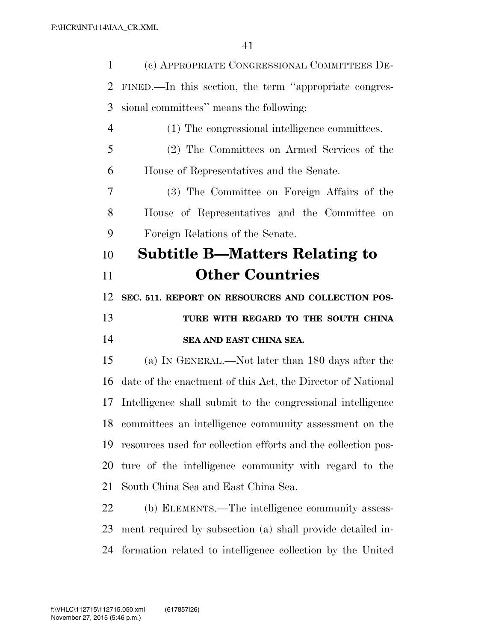| $\mathbf{1}$   | (c) APPROPRIATE CONGRESSIONAL COMMITTEES DE-                  |
|----------------|---------------------------------------------------------------|
| $\overline{2}$ | FINED.—In this section, the term "appropriate congres-        |
| 3              | sional committees" means the following:                       |
| $\overline{4}$ | (1) The congressional intelligence committees.                |
| 5              | (2) The Committees on Armed Services of the                   |
| 6              | House of Representatives and the Senate.                      |
| 7              | (3) The Committee on Foreign Affairs of the                   |
| 8              | House of Representatives and the Committee<br>on              |
| 9              | Foreign Relations of the Senate.                              |
| 10             | <b>Subtitle B—Matters Relating to</b>                         |
| 11             | <b>Other Countries</b>                                        |
| 12             | SEC. 511. REPORT ON RESOURCES AND COLLECTION POS-             |
|                |                                                               |
| 13             | TURE WITH REGARD TO THE SOUTH CHINA                           |
| 14             | SEA AND EAST CHINA SEA.                                       |
| 15             | (a) IN GENERAL.—Not later than 180 days after the             |
| 16             | date of the enactment of this Act, the Director of National   |
| 17             | Intelligence shall submit to the congressional intelligence   |
| 18             | committees an intelligence community assessment on the        |
| 19             | resources used for collection efforts and the collection pos- |
| 20             | ture of the intelligence community with regard to the         |
| 21             | South China Sea and East China Sea.                           |
| 22             | (b) ELEMENTS.—The intelligence community assess-              |
| 23             | ment required by subsection (a) shall provide detailed in-    |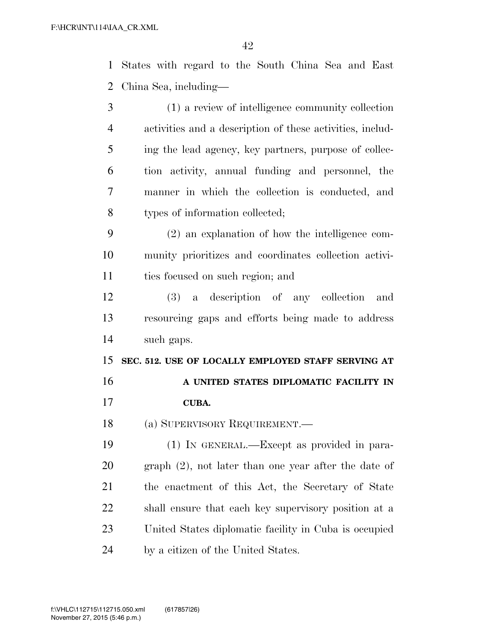States with regard to the South China Sea and East China Sea, including—

- (1) a review of intelligence community collection activities and a description of these activities, includ- ing the lead agency, key partners, purpose of collec- tion activity, annual funding and personnel, the manner in which the collection is conducted, and types of information collected;
- (2) an explanation of how the intelligence com- munity prioritizes and coordinates collection activi-11 ties focused on such region; and
- (3) a description of any collection and resourcing gaps and efforts being made to address such gaps.

**SEC. 512. USE OF LOCALLY EMPLOYED STAFF SERVING AT** 

- **A UNITED STATES DIPLOMATIC FACILITY IN**
- **CUBA.**
- (a) SUPERVISORY REQUIREMENT.—

 (1) IN GENERAL.—Except as provided in para- graph (2), not later than one year after the date of the enactment of this Act, the Secretary of State shall ensure that each key supervisory position at a United States diplomatic facility in Cuba is occupied by a citizen of the United States.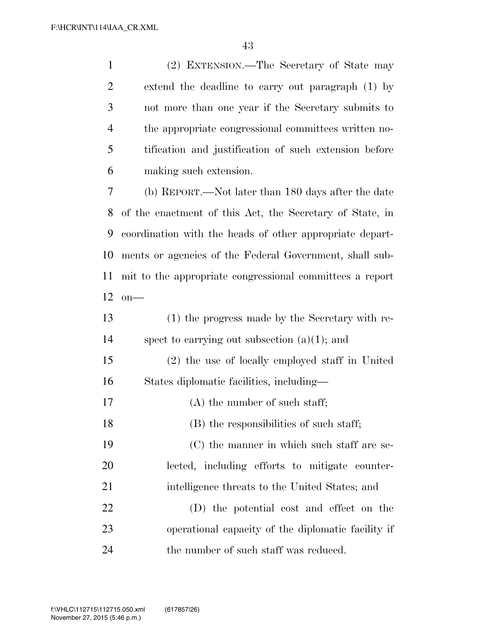| $\mathbf{1}$   | (2) EXTENSION.—The Secretary of State may                |
|----------------|----------------------------------------------------------|
| $\overline{2}$ | extend the deadline to carry out paragraph (1) by        |
| 3              | not more than one year if the Secretary submits to       |
| $\overline{4}$ | the appropriate congressional committees written no-     |
| 5              | tification and justification of such extension before    |
| 6              | making such extension.                                   |
| 7              | (b) REPORT.—Not later than 180 days after the date       |
| 8              | of the enactment of this Act, the Secretary of State, in |
| 9              | coordination with the heads of other appropriate depart- |
| 10             | ments or agencies of the Federal Government, shall sub-  |
| 11             | mit to the appropriate congressional committees a report |
| 12             | $on$ —                                                   |
| 13             | (1) the progress made by the Secretary with re-          |
| 14             | spect to carrying out subsection $(a)(1)$ ; and          |
| 15             | (2) the use of locally employed staff in United          |
| 16             | States diplomatic facilities, including—                 |
| 17             | $(A)$ the number of such staff;                          |
| 18             | (B) the responsibilities of such staff;                  |
| 19             | (C) the manner in which such staff are se-               |
| 20             | lected, including efforts to mitigate counter-           |
| 21             | intelligence threats to the United States; and           |
| 22             | (D) the potential cost and effect on the                 |
| 23             | operational capacity of the diplomatic facility if       |
| 24             | the number of such staff was reduced.                    |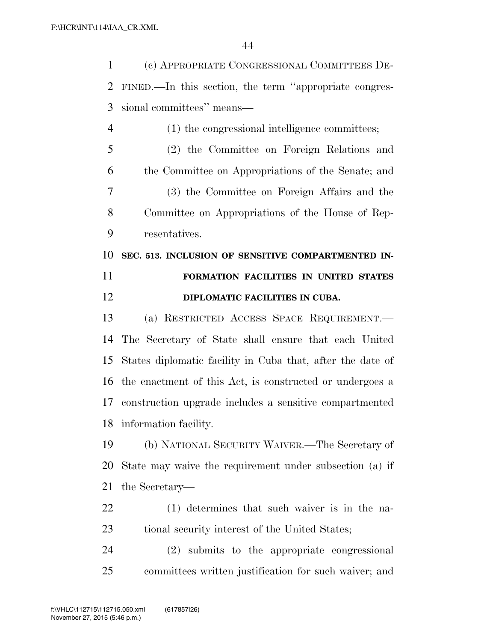(c) APPROPRIATE CONGRESSIONAL COMMITTEES DE- FINED.—In this section, the term ''appropriate congres-sional committees'' means—

 (1) the congressional intelligence committees; (2) the Committee on Foreign Relations and the Committee on Appropriations of the Senate; and (3) the Committee on Foreign Affairs and the Committee on Appropriations of the House of Rep-resentatives.

 **SEC. 513. INCLUSION OF SENSITIVE COMPARTMENTED IN- FORMATION FACILITIES IN UNITED STATES DIPLOMATIC FACILITIES IN CUBA.** 

 (a) RESTRICTED ACCESS SPACE REQUIREMENT.— The Secretary of State shall ensure that each United States diplomatic facility in Cuba that, after the date of the enactment of this Act, is constructed or undergoes a construction upgrade includes a sensitive compartmented information facility.

 (b) NATIONAL SECURITY WAIVER.—The Secretary of State may waive the requirement under subsection (a) if the Secretary—

 (1) determines that such waiver is in the na-23 tional security interest of the United States;

 (2) submits to the appropriate congressional committees written justification for such waiver; and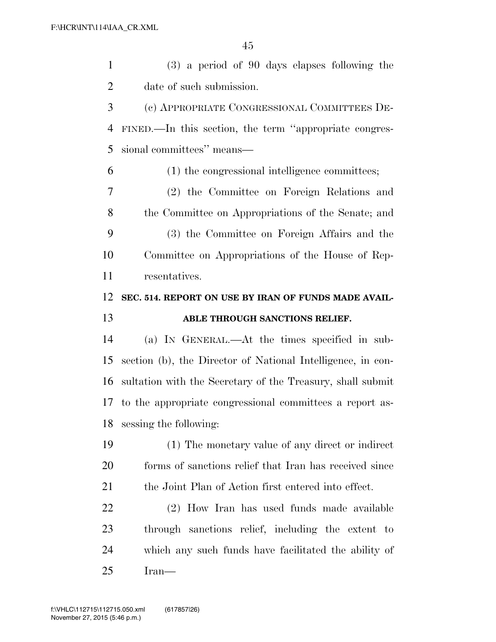| $\mathbf{1}$   | $(3)$ a period of 90 days elapses following the             |
|----------------|-------------------------------------------------------------|
| $\overline{2}$ | date of such submission.                                    |
| 3              | (c) APPROPRIATE CONGRESSIONAL COMMITTEES DE-                |
| 4              | FINED.—In this section, the term "appropriate congres-      |
| 5              | sional committees" means-                                   |
| 6              | (1) the congressional intelligence committees;              |
| 7              | (2) the Committee on Foreign Relations and                  |
| 8              | the Committee on Appropriations of the Senate; and          |
| 9              | (3) the Committee on Foreign Affairs and the                |
| 10             | Committee on Appropriations of the House of Rep-            |
| 11             | resentatives.                                               |
| 12             | SEC. 514. REPORT ON USE BY IRAN OF FUNDS MADE AVAIL-        |
|                |                                                             |
| 13             | ABLE THROUGH SANCTIONS RELIEF.                              |
| 14             | (a) IN GENERAL.—At the times specified in sub-              |
| 15             | section (b), the Director of National Intelligence, in con- |
| 16             | sultation with the Secretary of the Treasury, shall submit  |
| 17             | to the appropriate congressional committees a report as-    |
| 18             | sessing the following:                                      |
| 19             | (1) The monetary value of any direct or indirect            |
| <b>20</b>      | forms of sanctions relief that Iran has received since      |
| 21             | the Joint Plan of Action first entered into effect.         |
| 22             | (2) How Iran has used funds made available                  |
| 23             | through sanctions relief, including the extent to           |
| 24             | which any such funds have facilitated the ability of        |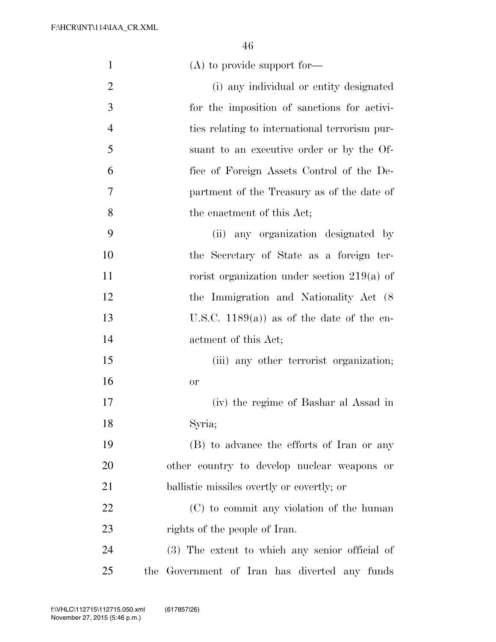| $\mathbf{1}$   | $(A)$ to provide support for—                  |
|----------------|------------------------------------------------|
| $\overline{2}$ | (i) any individual or entity designated        |
| $\mathfrak{Z}$ | for the imposition of sanctions for activi-    |
| $\overline{4}$ | ties relating to international terrorism pur-  |
| 5              | suant to an executive order or by the Of-      |
| 6              | fice of Foreign Assets Control of the De-      |
| 7              | partment of the Treasury as of the date of     |
| 8              | the enactment of this Act;                     |
| 9              | (ii) any organization designated by            |
| 10             | the Secretary of State as a foreign ter-       |
| 11             | rorist organization under section $219(a)$ of  |
| 12             | the Immigration and Nationality Act (8)        |
| 13             | U.S.C. 1189(a)) as of the date of the en-      |
| 14             | actment of this Act;                           |
| 15             | (iii) any other terrorist organization;        |
| 16             | or                                             |
| 17             | (iv) the regime of Bashar al Assad in          |
| 18             | Syria;                                         |
| 19             | (B) to advance the efforts of Iran or any      |
| 20             | other country to develop nuclear weapons or    |
| 21             | ballistic missiles overtly or covertly; or     |
| 22             | (C) to commit any violation of the human       |
| 23             | rights of the people of Iran.                  |
| 24             | (3) The extent to which any senior official of |
| 25             | the Government of Iran has diverted any funds  |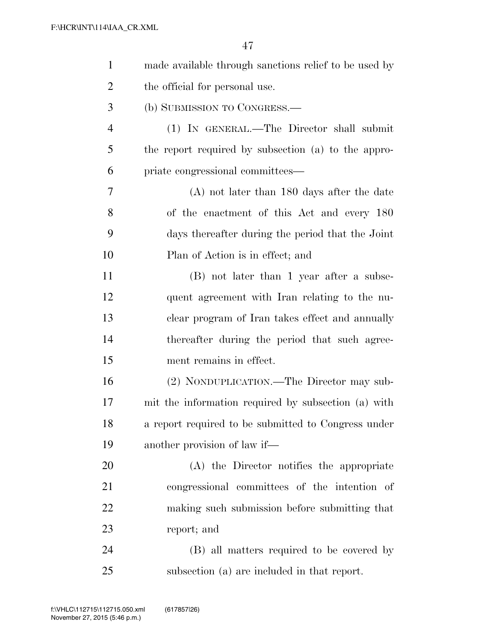| $\mathbf{1}$   | made available through sanctions relief to be used by |
|----------------|-------------------------------------------------------|
| $\overline{2}$ | the official for personal use.                        |
| 3              | (b) SUBMISSION TO CONGRESS.—                          |
| $\overline{4}$ | (1) IN GENERAL.—The Director shall submit             |
| 5              | the report required by subsection (a) to the appro-   |
| 6              | priate congressional committees—                      |
| 7              | $(A)$ not later than 180 days after the date          |
| 8              | of the enactment of this Act and every 180            |
| 9              | days thereafter during the period that the Joint      |
| 10             | Plan of Action is in effect; and                      |
| 11             | (B) not later than 1 year after a subse-              |
| 12             | quent agreement with Iran relating to the nu-         |
| 13             | clear program of Iran takes effect and annually       |
| 14             | thereafter during the period that such agree-         |
| 15             | ment remains in effect.                               |
| 16             | (2) NONDUPLICATION.—The Director may sub-             |
| 17             | mit the information required by subsection (a) with   |
| 18             | a report required to be submitted to Congress under   |
| 19             | another provision of law if—                          |
| 20             | (A) the Director notifies the appropriate             |
| 21             | congressional committees of the intention of          |
| 22             | making such submission before submitting that         |
| 23             | report; and                                           |
| 24             | (B) all matters required to be covered by             |
| 25             | subsection (a) are included in that report.           |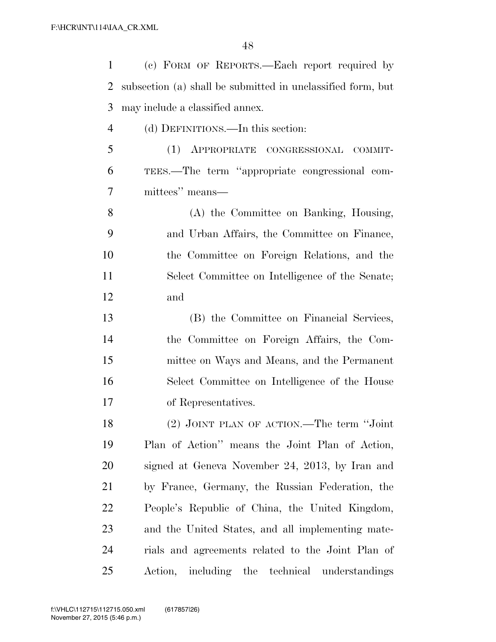| $\mathbf{1}$   | (c) FORM OF REPORTS.—Each report required by                |
|----------------|-------------------------------------------------------------|
| $\overline{2}$ | subsection (a) shall be submitted in unclassified form, but |
| 3              | may include a classified annex.                             |
| $\overline{4}$ | (d) DEFINITIONS.—In this section:                           |
| 5              | (1) APPROPRIATE CONGRESSIONAL COMMIT-                       |
| 6              | TEES.—The term "appropriate congressional com-              |
| 7              | mittees" means—                                             |
| 8              | (A) the Committee on Banking, Housing,                      |
| 9              | and Urban Affairs, the Committee on Finance,                |
| 10             | the Committee on Foreign Relations, and the                 |
| 11             | Select Committee on Intelligence of the Senate;             |
| 12             | and                                                         |
| 13             | (B) the Committee on Financial Services,                    |
| 14             | the Committee on Foreign Affairs, the Com-                  |
| 15             | mittee on Ways and Means, and the Permanent                 |
| 16             | Select Committee on Intelligence of the House               |
| 17             | of Representatives.                                         |
| 18             | (2) JOINT PLAN OF ACTION.—The term "Joint                   |
| 19             | Plan of Action" means the Joint Plan of Action,             |
| 20             | signed at Geneva November 24, 2013, by Iran and             |
| 21             | by France, Germany, the Russian Federation, the             |
| 22             | People's Republic of China, the United Kingdom,             |
| 23             | and the United States, and all implementing mate-           |
| 24             | rials and agreements related to the Joint Plan of           |
| 25             | Action, including the technical understandings              |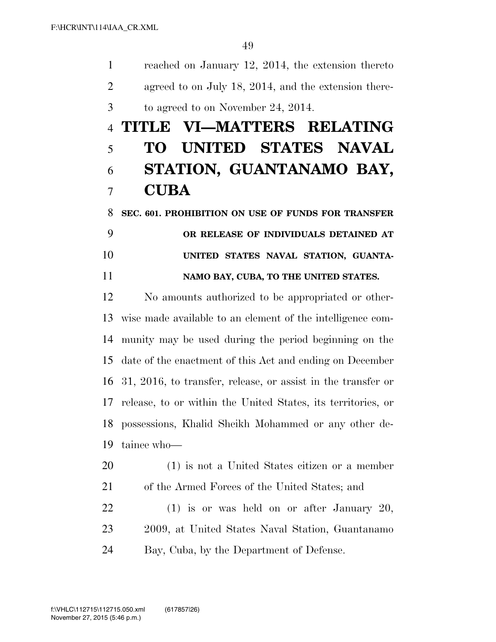reached on January 12, 2014, the extension thereto agreed to on July 18, 2014, and the extension there-to agreed to on November 24, 2014.

## **TITLE VI—MATTERS RELATING TO UNITED STATES NAVAL STATION, GUANTANAMO BAY, CUBA**

 **SEC. 601. PROHIBITION ON USE OF FUNDS FOR TRANSFER OR RELEASE OF INDIVIDUALS DETAINED AT UNITED STATES NAVAL STATION, GUANTA-NAMO BAY, CUBA, TO THE UNITED STATES.** 

 No amounts authorized to be appropriated or other- wise made available to an element of the intelligence com- munity may be used during the period beginning on the date of the enactment of this Act and ending on December 31, 2016, to transfer, release, or assist in the transfer or release, to or within the United States, its territories, or possessions, Khalid Sheikh Mohammed or any other de-tainee who—

 (1) is not a United States citizen or a member of the Armed Forces of the United States; and

22 (1) is or was held on or after January 20, 2009, at United States Naval Station, Guantanamo Bay, Cuba, by the Department of Defense.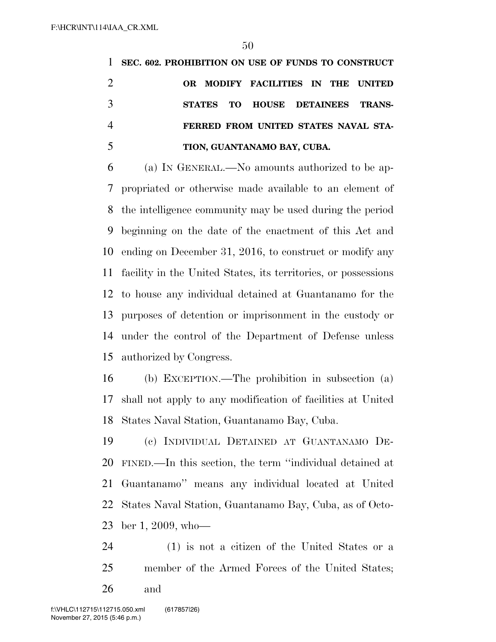**SEC. 602. PROHIBITION ON USE OF FUNDS TO CONSTRUCT OR MODIFY FACILITIES IN THE UNITED STATES TO HOUSE DETAINEES TRANS- FERRED FROM UNITED STATES NAVAL STA-TION, GUANTANAMO BAY, CUBA.** 

 (a) IN GENERAL.—No amounts authorized to be ap- propriated or otherwise made available to an element of the intelligence community may be used during the period beginning on the date of the enactment of this Act and ending on December 31, 2016, to construct or modify any facility in the United States, its territories, or possessions to house any individual detained at Guantanamo for the purposes of detention or imprisonment in the custody or under the control of the Department of Defense unless authorized by Congress.

 (b) EXCEPTION.—The prohibition in subsection (a) shall not apply to any modification of facilities at United States Naval Station, Guantanamo Bay, Cuba.

 (c) INDIVIDUAL DETAINED AT GUANTANAMO DE- FINED.—In this section, the term ''individual detained at Guantanamo'' means any individual located at United States Naval Station, Guantanamo Bay, Cuba, as of Octo-ber 1, 2009, who—

 (1) is not a citizen of the United States or a member of the Armed Forces of the United States; and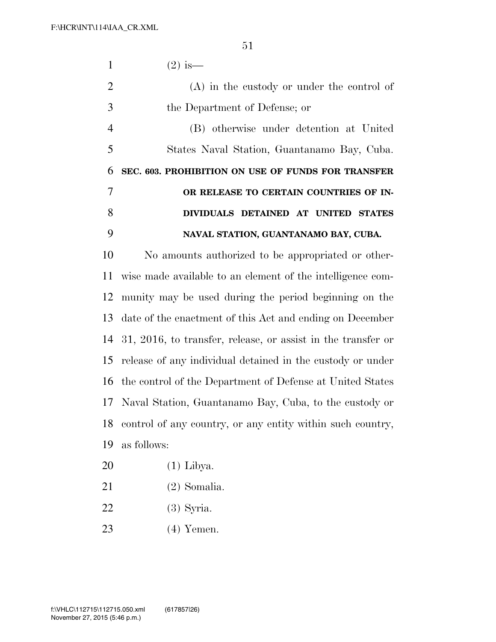| 1              | $(2)$ is —                                                      |
|----------------|-----------------------------------------------------------------|
| $\overline{2}$ | $(A)$ in the custody or under the control of                    |
| 3              | the Department of Defense; or                                   |
| $\overline{4}$ | (B) otherwise under detention at United                         |
| 5              | States Naval Station, Guantanamo Bay, Cuba.                     |
| 6              | SEC. 603. PROHIBITION ON USE OF FUNDS FOR TRANSFER              |
| 7              | OR RELEASE TO CERTAIN COUNTRIES OF IN-                          |
| 8              | DIVIDUALS DETAINED AT UNITED STATES                             |
| 9              | NAVAL STATION, GUANTANAMO BAY, CUBA.                            |
| 10             | No amounts authorized to be appropriated or other-              |
| 11             | wise made available to an element of the intelligence com-      |
| 12             | munity may be used during the period beginning on the           |
| 13             | date of the enactment of this Act and ending on December        |
| 14             | $31, 2016$ , to transfer, release, or assist in the transfer or |
| 15             | release of any individual detained in the custody or under      |
|                | 16 the control of the Department of Defense at United States    |
|                | 17 Naval Station, Guantanamo Bay, Cuba, to the custody or       |
|                | 18 control of any country, or any entity within such country,   |
| 19             | as follows:                                                     |
| 20             | $(1)$ Libya.                                                    |
| 21             | $(2)$ Somalia.                                                  |
|                |                                                                 |

- (3) Syria.
- (4) Yemen.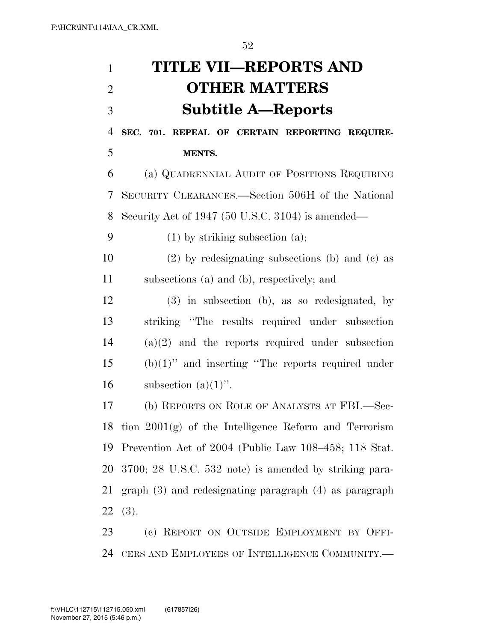| $\mathbf{1}$   | <b>TITLE VII—REPORTS AND</b>                               |
|----------------|------------------------------------------------------------|
| $\overline{2}$ | <b>OTHER MATTERS</b>                                       |
| 3              | <b>Subtitle A-Reports</b>                                  |
| $\overline{4}$ | SEC. 701. REPEAL OF CERTAIN REPORTING REQUIRE-             |
| 5              | MENTS.                                                     |
| 6              | (a) QUADRENNIAL AUDIT OF POSITIONS REQUIRING               |
| 7              | SECURITY CLEARANCES.—Section 506H of the National          |
| 8              | Security Act of 1947 (50 U.S.C. 3104) is amended—          |
| 9              | $(1)$ by striking subsection $(a)$ ;                       |
| 10             | $(2)$ by redesignating subsections (b) and (c) as          |
| 11             | subsections (a) and (b), respectively; and                 |
| 12             | (3) in subsection (b), as so redesignated, by              |
| 13             | striking "The results required under subsection            |
| 14             | $(a)(2)$ and the reports required under subsection         |
| 15             | $(b)(1)$ " and inserting "The reports required under       |
| 16             | subsection $(a)(1)$ ".                                     |
| 17             | (b) REPORTS ON ROLE OF ANALYSTS AT FBI.—Sec-               |
| 18             | tion $2001(g)$ of the Intelligence Reform and Terrorism    |
| 19             | Prevention Act of 2004 (Public Law 108–458; 118 Stat.      |
| 20             | $3700; 28$ U.S.C. $532$ note) is amended by striking para- |
| 21             | $graph(3)$ and redesignating paragraph $(4)$ as paragraph  |
| 22             | (3).                                                       |
| 23             | (c) REPORT ON OUTSIDE EMPLOYMENT BY OFFI-                  |

CERS AND EMPLOYEES OF INTELLIGENCE COMMUNITY.—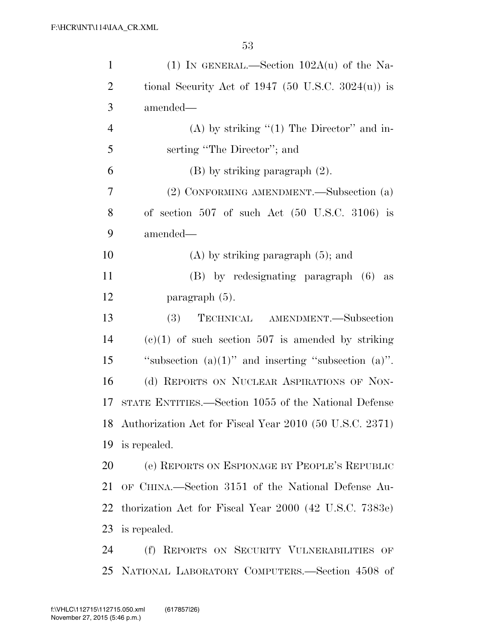| $\mathbf{1}$   | (1) IN GENERAL.—Section $102A(u)$ of the Na-                |
|----------------|-------------------------------------------------------------|
| $\overline{2}$ | tional Security Act of 1947 (50 U.S.C. 3024 $(u)$ ) is      |
| 3              | amended—                                                    |
| $\overline{4}$ | (A) by striking " $(1)$ The Director" and in-               |
| 5              | serting "The Director"; and                                 |
| 6              | $(B)$ by striking paragraph $(2)$ .                         |
| 7              | (2) CONFORMING AMENDMENT.—Subsection (a)                    |
| 8              | of section $507$ of such Act $(50 \text{ U.S.C. } 3106)$ is |
| 9              | amended—                                                    |
| 10             | $(A)$ by striking paragraph $(5)$ ; and                     |
| 11             | (B) by redesignating paragraph (6) as                       |
| 12             | paragraph $(5)$ .                                           |
| 13             | TECHNICAL AMENDMENT. - Subsection<br><b>(3)</b>             |
| 14             | $(e)(1)$ of such section 507 is amended by striking         |
| 15             | "subsection $(a)(1)$ " and inserting "subsection $(a)$ ".   |
| 16             | (d) REPORTS ON NUCLEAR ASPIRATIONS OF NON-                  |
| 17             | STATE ENTITIES.—Section 1055 of the National Defense        |
|                | 18 Authorization Act for Fiscal Year 2010 (50 U.S.C. 2371)  |
| 19             | is repealed.                                                |
| 20             | (e) REPORTS ON ESPIONAGE BY PEOPLE'S REPUBLIC               |
| 21             | OF CHINA.—Section 3151 of the National Defense Au-          |
| 22             | thorization Act for Fiscal Year 2000 (42 U.S.C. 7383e)      |
| 23             | is repealed.                                                |
| 24             | (f) REPORTS ON SECURITY VULNERABILITIES OF                  |
|                | 25 NATIONAL LABORATORY COMPUTERS.—Section 4508 of           |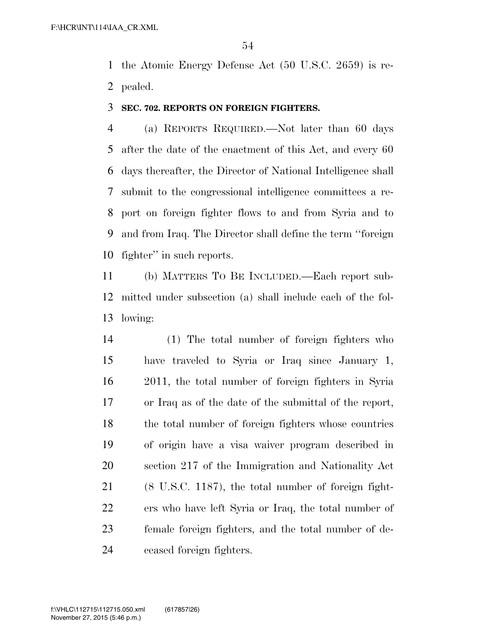the Atomic Energy Defense Act (50 U.S.C. 2659) is re-pealed.

### **SEC. 702. REPORTS ON FOREIGN FIGHTERS.**

 (a) REPORTS REQUIRED.—Not later than 60 days after the date of the enactment of this Act, and every 60 days thereafter, the Director of National Intelligence shall submit to the congressional intelligence committees a re- port on foreign fighter flows to and from Syria and to and from Iraq. The Director shall define the term ''foreign fighter'' in such reports.

 (b) MATTERS TO BE INCLUDED.—Each report sub- mitted under subsection (a) shall include each of the fol-lowing:

 (1) The total number of foreign fighters who have traveled to Syria or Iraq since January 1, 2011, the total number of foreign fighters in Syria or Iraq as of the date of the submittal of the report, the total number of foreign fighters whose countries of origin have a visa waiver program described in section 217 of the Immigration and Nationality Act (8 U.S.C. 1187), the total number of foreign fight- ers who have left Syria or Iraq, the total number of female foreign fighters, and the total number of de-ceased foreign fighters.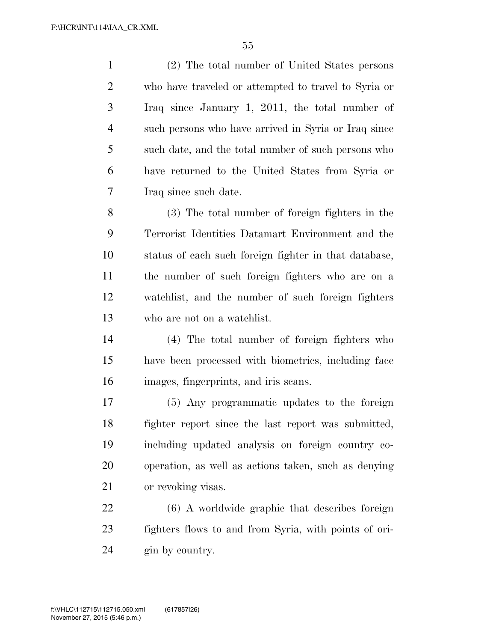(2) The total number of United States persons who have traveled or attempted to travel to Syria or Iraq since January 1, 2011, the total number of such persons who have arrived in Syria or Iraq since such date, and the total number of such persons who have returned to the United States from Syria or Iraq since such date.

 (3) The total number of foreign fighters in the Terrorist Identities Datamart Environment and the status of each such foreign fighter in that database, the number of such foreign fighters who are on a watchlist, and the number of such foreign fighters who are not on a watchlist.

 (4) The total number of foreign fighters who have been processed with biometrics, including face images, fingerprints, and iris scans.

 (5) Any programmatic updates to the foreign fighter report since the last report was submitted, including updated analysis on foreign country co- operation, as well as actions taken, such as denying or revoking visas.

 (6) A worldwide graphic that describes foreign fighters flows to and from Syria, with points of ori-gin by country.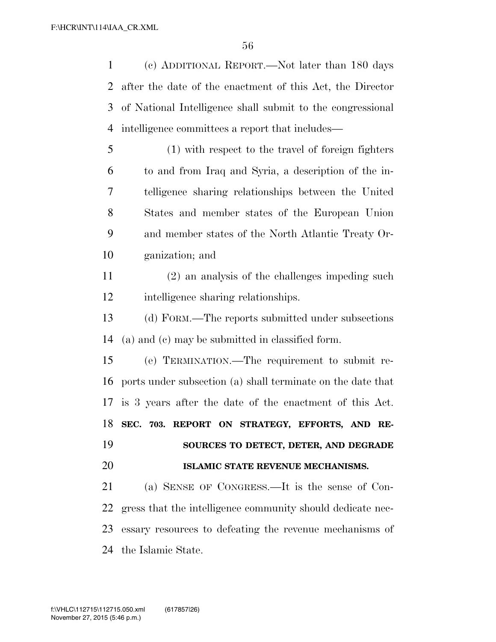(c) ADDITIONAL REPORT.—Not later than 180 days after the date of the enactment of this Act, the Director of National Intelligence shall submit to the congressional intelligence committees a report that includes—

 (1) with respect to the travel of foreign fighters to and from Iraq and Syria, a description of the in- telligence sharing relationships between the United States and member states of the European Union and member states of the North Atlantic Treaty Or-ganization; and

 (2) an analysis of the challenges impeding such intelligence sharing relationships.

 (d) FORM.—The reports submitted under subsections (a) and (c) may be submitted in classified form.

 (e) TERMINATION.—The requirement to submit re- ports under subsection (a) shall terminate on the date that is 3 years after the date of the enactment of this Act. **SEC. 703. REPORT ON STRATEGY, EFFORTS, AND RE- SOURCES TO DETECT, DETER, AND DEGRADE ISLAMIC STATE REVENUE MECHANISMS.** 

 (a) SENSE OF CONGRESS.—It is the sense of Con- gress that the intelligence community should dedicate nec- essary resources to defeating the revenue mechanisms of the Islamic State.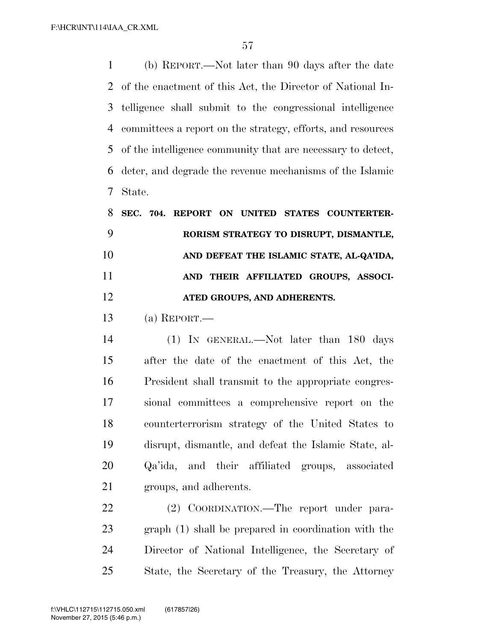(b) REPORT.—Not later than 90 days after the date of the enactment of this Act, the Director of National In- telligence shall submit to the congressional intelligence committees a report on the strategy, efforts, and resources of the intelligence community that are necessary to detect, deter, and degrade the revenue mechanisms of the Islamic State.

| 8  |  | SEC. 704. REPORT ON UNITED STATES COUNTERTER- |                             |  |                                          |
|----|--|-----------------------------------------------|-----------------------------|--|------------------------------------------|
|    |  |                                               |                             |  | RORISM STRATEGY TO DISRUPT, DISMANTLE,   |
| 10 |  |                                               |                             |  | AND DEFEAT THE ISLAMIC STATE, AL-QA'IDA, |
| 11 |  |                                               |                             |  | AND THEIR AFFILIATED GROUPS, ASSOCI-     |
| 12 |  |                                               | ATED GROUPS, AND ADHERENTS. |  |                                          |

(a) REPORT.—

 (1) IN GENERAL.—Not later than 180 days after the date of the enactment of this Act, the President shall transmit to the appropriate congres- sional committees a comprehensive report on the counterterrorism strategy of the United States to disrupt, dismantle, and defeat the Islamic State, al- Qa'ida, and their affiliated groups, associated groups, and adherents.

 (2) COORDINATION.—The report under para- graph (1) shall be prepared in coordination with the Director of National Intelligence, the Secretary of State, the Secretary of the Treasury, the Attorney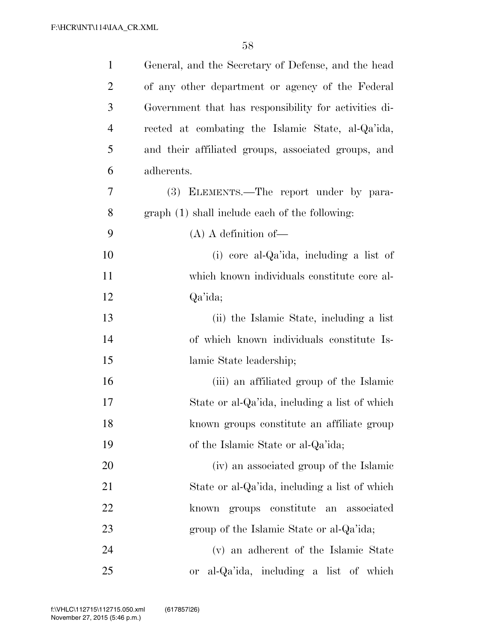| $\mathbf{1}$   | General, and the Secretary of Defense, and the head   |
|----------------|-------------------------------------------------------|
| 2              | of any other department or agency of the Federal      |
| 3              | Government that has responsibility for activities di- |
| $\overline{4}$ | rected at combating the Islamic State, al-Qa'ida,     |
| 5              | and their affiliated groups, associated groups, and   |
| 6              | adherents.                                            |
| 7              | (3) ELEMENTS.—The report under by para-               |
| 8              | graph (1) shall include each of the following:        |
| 9              | $(A)$ A definition of —                               |
| 10             | (i) core al-Qa'ida, including a list of               |
| 11             | which known individuals constitute core al-           |
| 12             | Qa'ida;                                               |
| 13             | (ii) the Islamic State, including a list              |
| 14             | of which known individuals constitute Is-             |
| 15             | lamic State leadership;                               |
| 16             | (iii) an affiliated group of the Islamic              |
| 17             | State or al-Qa'ida, including a list of which         |
| 18             | known groups constitute an affiliate group            |
| 19             | of the Islamic State or al-Qa'ida;                    |
| 20             | (iv) an associated group of the Islamic               |
| 21             | State or al-Qa'ida, including a list of which         |
| 22             | groups constitute an associated<br>known              |
| 23             | group of the Islamic State or al-Qa'ida;              |
| 24             | (v) an adherent of the Islamic State                  |
| 25             | al-Qa'ida, including a list of which<br><b>or</b>     |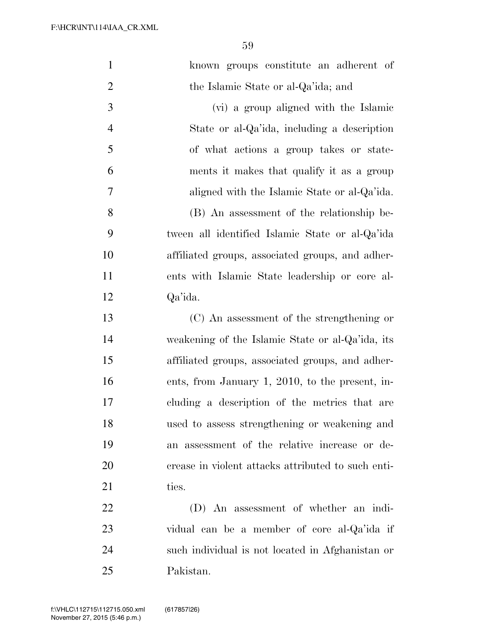F:\HCR\INT\114\IAA\_CR.XML

| $\mathbf{1}$   | known groups constitute an adherent of             |
|----------------|----------------------------------------------------|
| $\overline{2}$ | the Islamic State or al-Qa'ida; and                |
| 3              | (vi) a group aligned with the Islamic              |
| $\overline{4}$ | State or al-Qa'ida, including a description        |
| 5              | of what actions a group takes or state-            |
| 6              | ments it makes that qualify it as a group          |
| 7              | aligned with the Islamic State or al-Qa'ida.       |
| 8              | (B) An assessment of the relationship be-          |
| 9              | tween all identified Islamic State or al-Qa'ida    |
| 10             | affiliated groups, associated groups, and adher-   |
| 11             | ents with Islamic State leadership or core al-     |
| 12             | Qa'ida.                                            |
| 13             | (C) An assessment of the strengthening or          |
| 14             | weakening of the Islamic State or al-Qa'ida, its   |
| 15             | affiliated groups, associated groups, and adher-   |
| 16             | ents, from January 1, 2010, to the present, in-    |
| 17             | cluding a description of the metrics that are      |
| 18             | used to assess strengthening or weakening and      |
| 19             | an assessment of the relative increase or de-      |
| 20             | crease in violent attacks attributed to such enti- |
| 21             | ties.                                              |
| 22             | (D) An assessment of whether an indi-              |
| 23             | vidual can be a member of core al-Qa'ida if        |
| 24             | such individual is not located in Afghanistan or   |
| 25             | Pakistan.                                          |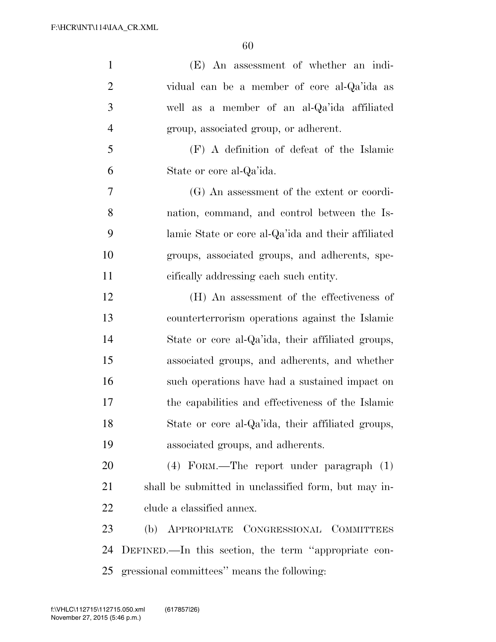| $\mathbf{1}$   | (E) An assessment of whether an indi-                |
|----------------|------------------------------------------------------|
| $\overline{2}$ | vidual can be a member of core al-Qa'ida as          |
| 3              | well as a member of an al-Qa'ida affiliated          |
| $\overline{4}$ | group, associated group, or adherent.                |
| 5              | (F) A definition of defeat of the Islamic            |
| 6              | State or core al-Qa'ida.                             |
| 7              | (G) An assessment of the extent or coordi-           |
| 8              | nation, command, and control between the Is-         |
| 9              | lamic State or core al-Qa'ida and their affiliated   |
| 10             | groups, associated groups, and adherents, spe-       |
| 11             | cifically addressing each such entity.               |
| 12             | (H) An assessment of the effectiveness of            |
| 13             | counterterrorism operations against the Islamic      |
| 14             | State or core al-Qa'ida, their affiliated groups,    |
| 15             | associated groups, and adherents, and whether        |
| 16             | such operations have had a sustained impact on       |
| 17             | the capabilities and effectiveness of the Islamic    |
| 18             | State or core al-Qa'ida, their affiliated groups,    |
| 19             | associated groups, and adherents.                    |
| 20             | (4) FORM.—The report under paragraph (1)             |
| 21             | shall be submitted in unclassified form, but may in- |
| 22             | clude a classified annex.                            |
| 23             | APPROPRIATE CONGRESSIONAL COMMITTEES<br>(b)          |
| 24             | DEFINED.—In this section, the term "appropriate con- |
| 25             | gressional committees" means the following:          |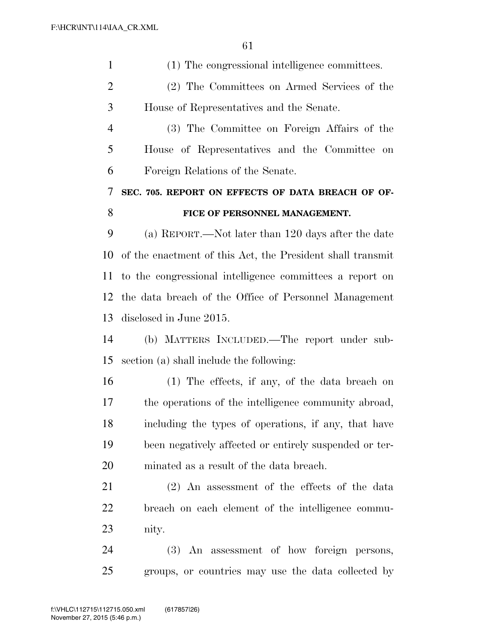| $\mathbf{1}$   | (1) The congressional intelligence committees.             |
|----------------|------------------------------------------------------------|
| $\overline{2}$ | (2) The Committees on Armed Services of the                |
| 3              | House of Representatives and the Senate.                   |
| $\overline{4}$ | (3) The Committee on Foreign Affairs of the                |
| 5              | House of Representatives and the Committee on              |
| 6              | Foreign Relations of the Senate.                           |
| 7              | SEC. 705. REPORT ON EFFECTS OF DATA BREACH OF OF-          |
| 8              | FICE OF PERSONNEL MANAGEMENT.                              |
| 9              | (a) REPORT.—Not later than 120 days after the date         |
| 10             | of the enactment of this Act, the President shall transmit |
| 11             | to the congressional intelligence committees a report on   |
| 12             | the data breach of the Office of Personnel Management      |
| 13             | disclosed in June 2015.                                    |
| 14             | (b) MATTERS INCLUDED.—The report under sub-                |
| 15             | section (a) shall include the following:                   |
| 16             | $(1)$ The effects, if any, of the data breach on           |
| 17             | the operations of the intelligence community abroad,       |
| 18             | including the types of operations, if any, that have       |
| 19             | been negatively affected or entirely suspended or ter-     |
| 20             | minated as a result of the data breach.                    |
| 21             | $(2)$ An assessment of the effects of the data             |
| 22             | breach on each element of the intelligence commu-          |
| 23             | nity.                                                      |
| 24             | (3) An assessment of how foreign persons,                  |
| 25             | groups, or countries may use the data collected by         |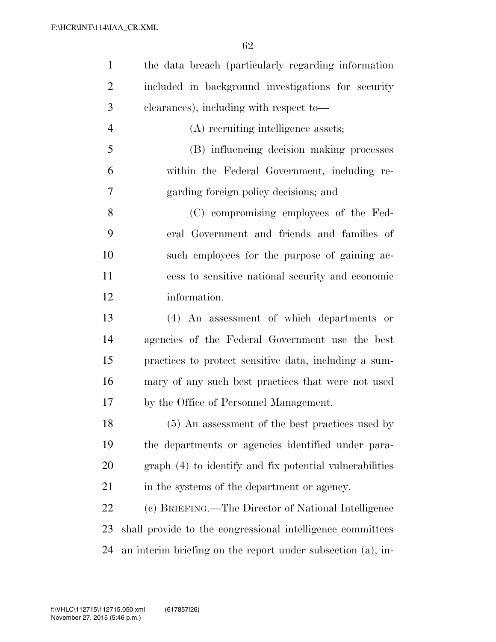| $\mathbf{1}$   | the data breach (particularly regarding information         |
|----------------|-------------------------------------------------------------|
| $\overline{2}$ | included in background investigations for security          |
| 3              | clearances), including with respect to-                     |
| $\overline{4}$ | (A) recruiting intelligence assets;                         |
| 5              | (B) influencing decision making processes                   |
| 6              | within the Federal Government, including re-                |
| 7              | garding foreign policy decisions; and                       |
| 8              | (C) compromising employees of the Fed-                      |
| 9              | eral Government and friends and families of                 |
| 10             | such employees for the purpose of gaining ac-               |
| 11             | cess to sensitive national security and economic            |
| 12             | information.                                                |
| 13             | (4) An assessment of which departments or                   |
| 14             | agencies of the Federal Government use the best             |
| 15             | practices to protect sensitive data, including a sum-       |
| 16             | mary of any such best practices that were not used          |
| 17             | by the Office of Personnel Management.                      |
| 18             | (5) An assessment of the best practices used by             |
| 19             | the departments or agencies identified under para-          |
| 20             | graph (4) to identify and fix potential vulnerabilities     |
| 21             | in the systems of the department or agency.                 |
| 22             | (c) BRIEFING.—The Director of National Intelligence         |
| 23             | shall provide to the congressional intelligence committees  |
| 24             | an interim briefing on the report under subsection (a), in- |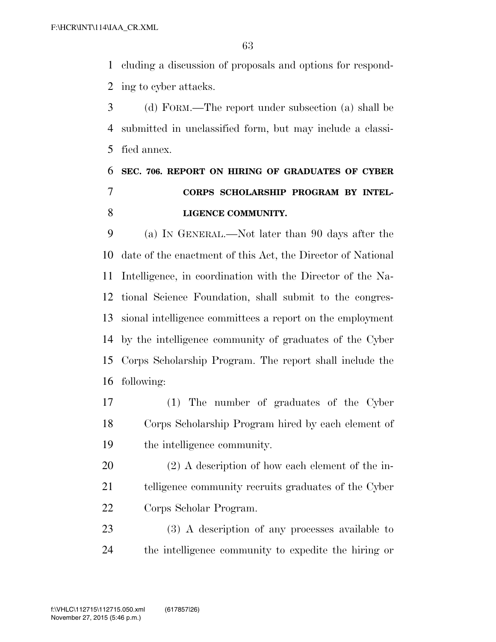cluding a discussion of proposals and options for respond-ing to cyber attacks.

 (d) FORM.—The report under subsection (a) shall be submitted in unclassified form, but may include a classi-fied annex.

## **SEC. 706. REPORT ON HIRING OF GRADUATES OF CYBER CORPS SCHOLARSHIP PROGRAM BY INTEL-LIGENCE COMMUNITY.**

 (a) IN GENERAL.—Not later than 90 days after the date of the enactment of this Act, the Director of National Intelligence, in coordination with the Director of the Na- tional Science Foundation, shall submit to the congres- sional intelligence committees a report on the employment by the intelligence community of graduates of the Cyber Corps Scholarship Program. The report shall include the following:

 (1) The number of graduates of the Cyber Corps Scholarship Program hired by each element of the intelligence community.

 (2) A description of how each element of the in- telligence community recruits graduates of the Cyber Corps Scholar Program.

 (3) A description of any processes available to the intelligence community to expedite the hiring or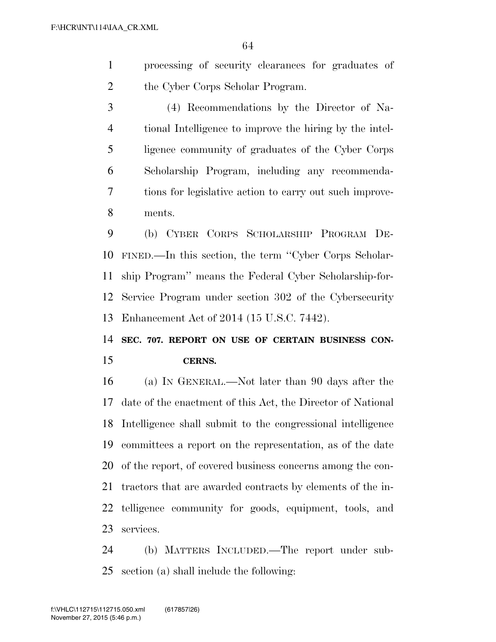- processing of security clearances for graduates of the Cyber Corps Scholar Program.
- (4) Recommendations by the Director of Na- tional Intelligence to improve the hiring by the intel- ligence community of graduates of the Cyber Corps Scholarship Program, including any recommenda- tions for legislative action to carry out such improve-ments.

 (b) CYBER CORPS SCHOLARSHIP PROGRAM DE- FINED.—In this section, the term ''Cyber Corps Scholar- ship Program'' means the Federal Cyber Scholarship-for- Service Program under section 302 of the Cybersecurity Enhancement Act of 2014 (15 U.S.C. 7442).

 **SEC. 707. REPORT ON USE OF CERTAIN BUSINESS CON-CERNS.** 

 (a) IN GENERAL.—Not later than 90 days after the date of the enactment of this Act, the Director of National Intelligence shall submit to the congressional intelligence committees a report on the representation, as of the date of the report, of covered business concerns among the con- tractors that are awarded contracts by elements of the in- telligence community for goods, equipment, tools, and services.

 (b) MATTERS INCLUDED.—The report under sub-section (a) shall include the following: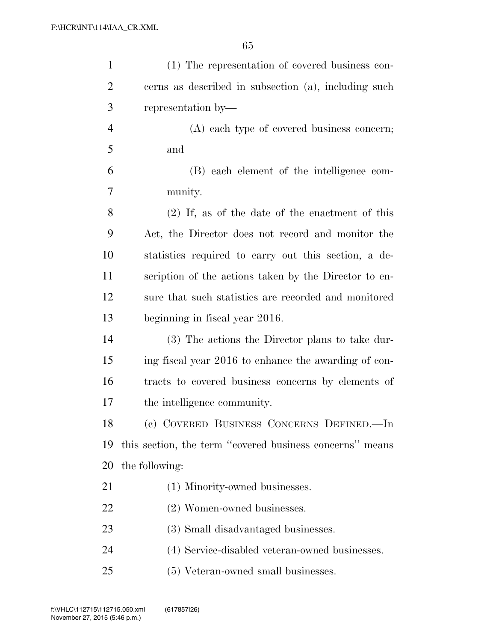| $\mathbf{1}$   | (1) The representation of covered business con-          |
|----------------|----------------------------------------------------------|
| $\overline{2}$ | cerns as described in subsection (a), including such     |
| 3              | representation by—                                       |
| $\overline{4}$ | (A) each type of covered business concern;               |
| 5              | and                                                      |
| 6              | (B) each element of the intelligence com-                |
| 7              | munity.                                                  |
| 8              | $(2)$ If, as of the date of the enactment of this        |
| 9              | Act, the Director does not record and monitor the        |
| 10             | statistics required to carry out this section, a de-     |
| 11             | scription of the actions taken by the Director to en-    |
| 12             | sure that such statistics are recorded and monitored     |
| 13             | beginning in fiscal year 2016.                           |
| 14             | (3) The actions the Director plans to take dur-          |
| 15             | ing fiscal year 2016 to enhance the awarding of con-     |
| 16             | tracts to covered business concerns by elements of       |
| 17             | the intelligence community.                              |
| 18             | (c) COVERED BUSINESS CONCERNS DEFINED.-In                |
| 19             | this section, the term "covered business concerns" means |
| 20             | the following:                                           |
| 21             | (1) Minority-owned businesses.                           |
| 22             | (2) Women-owned businesses.                              |
| 23             | (3) Small disadvantaged businesses.                      |
| 24             | (4) Service-disabled veteran-owned businesses.           |
| 25             | (5) Veteran-owned small businesses.                      |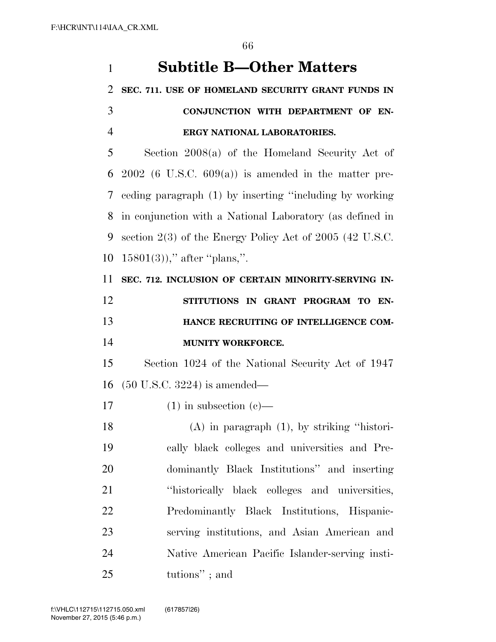| $\mathbf{1}$   | <b>Subtitle B-Other Matters</b>                              |
|----------------|--------------------------------------------------------------|
| 2              | SEC. 711. USE OF HOMELAND SECURITY GRANT FUNDS IN            |
| 3              | CONJUNCTION WITH DEPARTMENT OF EN-                           |
| $\overline{4}$ | ERGY NATIONAL LABORATORIES.                                  |
| 5              | Section $2008(a)$ of the Homeland Security Act of            |
| 6              | $2002$ (6 U.S.C. 609(a)) is amended in the matter pre-       |
| 7              | eeding paragraph (1) by inserting "including by working      |
| 8              | in conjunction with a National Laboratory (as defined in     |
| 9              | section $2(3)$ of the Energy Policy Act of $2005$ (42 U.S.C. |
| 10             | $15801(3)$ ," after "plans,".                                |
| 11             | SEC. 712. INCLUSION OF CERTAIN MINORITY-SERVING IN-          |
| 12             | STITUTIONS IN GRANT PROGRAM TO EN-                           |
| 13             | HANCE RECRUITING OF INTELLIGENCE COM-                        |
| 14             | <b>MUNITY WORKFORCE.</b>                                     |
|                |                                                              |
| 15             | Section 1024 of the National Security Act of 1947            |
| 16             | $(50 \text{ U.S.C. } 3224)$ is amended—                      |
| 17             | $(1)$ in subsection $(e)$ —                                  |
| 18             | $(A)$ in paragraph $(1)$ , by striking "histori-             |
| 19             | cally black colleges and universities and Pre-               |
| 20             | dominantly Black Institutions" and inserting                 |
| 21             | "historically black colleges and universities,               |
| 22             | Predominantly Black Institutions, Hispanic-                  |
| 23             | serving institutions, and Asian American and                 |
| 24             | Native American Pacific Islander-serving insti-              |